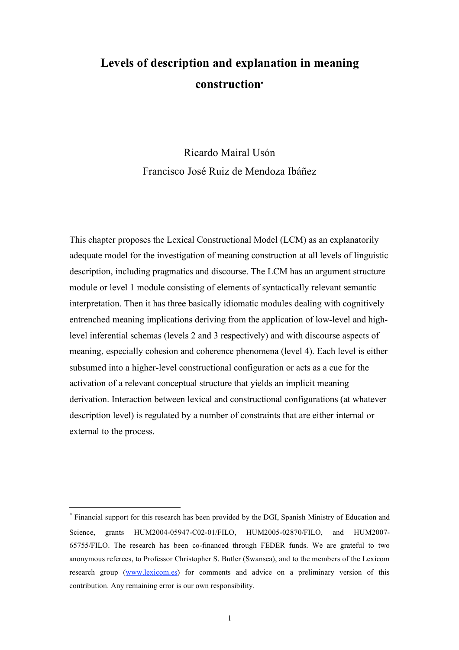# **Levels of description and explanation in meaning construction**<sup>∗</sup>

Ricardo Mairal Usón Francisco José Ruiz de Mendoza Ibáñez

This chapter proposes the Lexical Constructional Model (LCM) as an explanatorily adequate model for the investigation of meaning construction at all levels of linguistic description, including pragmatics and discourse. The LCM has an argument structure module or level 1 module consisting of elements of syntactically relevant semantic interpretation. Then it has three basically idiomatic modules dealing with cognitively entrenched meaning implications deriving from the application of low-level and highlevel inferential schemas (levels 2 and 3 respectively) and with discourse aspects of meaning, especially cohesion and coherence phenomena (level 4). Each level is either subsumed into a higher-level constructional configuration or acts as a cue for the activation of a relevant conceptual structure that yields an implicit meaning derivation. Interaction between lexical and constructional configurations (at whatever description level) is regulated by a number of constraints that are either internal or external to the process.

 $\overline{a}$ 

<sup>∗</sup> Financial support for this research has been provided by the DGI, Spanish Ministry of Education and Science, grants HUM2004-05947-C02-01/FILO, HUM2005-02870/FILO, and HUM2007- 65755/FILO. The research has been co-financed through FEDER funds. We are grateful to two anonymous referees, to Professor Christopher S. Butler (Swansea), and to the members of the Lexicom research group (www.lexicom.es) for comments and advice on a preliminary version of this contribution. Any remaining error is our own responsibility.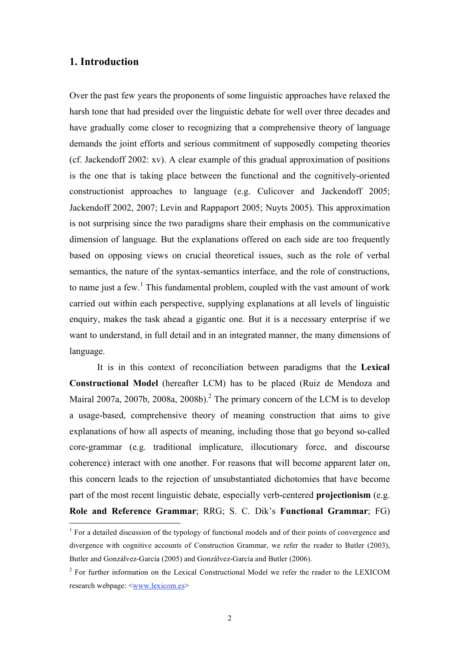### **1. Introduction**

Over the past few years the proponents of some linguistic approaches have relaxed the harsh tone that had presided over the linguistic debate for well over three decades and have gradually come closer to recognizing that a comprehensive theory of language demands the joint efforts and serious commitment of supposedly competing theories (cf. Jackendoff 2002: xv). A clear example of this gradual approximation of positions is the one that is taking place between the functional and the cognitively-oriented constructionist approaches to language (e.g. Culicover and Jackendoff 2005; Jackendoff 2002, 2007; Levin and Rappaport 2005; Nuyts 2005). This approximation is not surprising since the two paradigms share their emphasis on the communicative dimension of language. But the explanations offered on each side are too frequently based on opposing views on crucial theoretical issues, such as the role of verbal semantics, the nature of the syntax-semantics interface, and the role of constructions, to name just a few.<sup>1</sup> This fundamental problem, coupled with the vast amount of work carried out within each perspective, supplying explanations at all levels of linguistic enquiry, makes the task ahead a gigantic one. But it is a necessary enterprise if we want to understand, in full detail and in an integrated manner, the many dimensions of language.

It is in this context of reconciliation between paradigms that the **Lexical Constructional Model** (hereafter LCM) has to be placed (Ruiz de Mendoza and Mairal 2007a, 2007b, 2008a, 2008b).<sup>2</sup> The primary concern of the LCM is to develop a usage-based, comprehensive theory of meaning construction that aims to give explanations of how all aspects of meaning, including those that go beyond so-called core-grammar (e.g. traditional implicature, illocutionary force, and discourse coherence) interact with one another. For reasons that will become apparent later on, this concern leads to the rejection of unsubstantiated dichotomies that have become part of the most recent linguistic debate, especially verb-centered **projectionism** (e.g. **Role and Reference Grammar**; RRG; S. C. Dik's **Functional Grammar**; FG)

<sup>&</sup>lt;sup>1</sup> For a detailed discussion of the typology of functional models and of their points of convergence and divergence with cognitive accounts of Construction Grammar, we refer the reader to Butler (2003), Butler and Gonzálvez-García (2005) and Gonzálvez-García and Butler (2006).

<sup>&</sup>lt;sup>2</sup> For further information on the Lexical Constructional Model we refer the reader to the LEXICOM research webpage: <www.lexicom.es>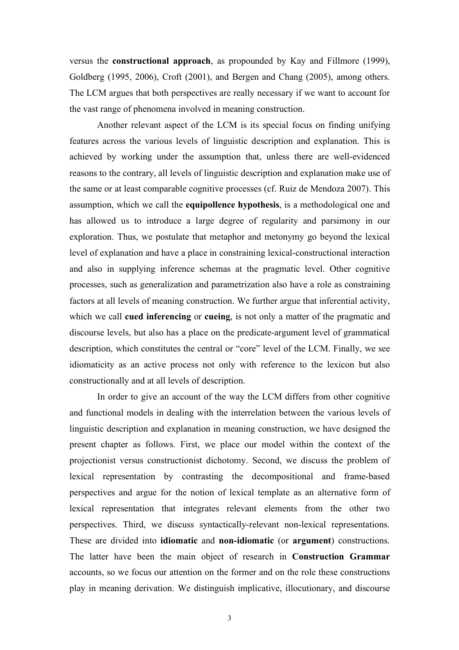versus the **constructional approach**, as propounded by Kay and Fillmore (1999), Goldberg (1995, 2006), Croft (2001), and Bergen and Chang (2005), among others. The LCM argues that both perspectives are really necessary if we want to account for the vast range of phenomena involved in meaning construction.

Another relevant aspect of the LCM is its special focus on finding unifying features across the various levels of linguistic description and explanation. This is achieved by working under the assumption that, unless there are well-evidenced reasons to the contrary, all levels of linguistic description and explanation make use of the same or at least comparable cognitive processes (cf. Ruiz de Mendoza 2007). This assumption, which we call the **equipollence hypothesis**, is a methodological one and has allowed us to introduce a large degree of regularity and parsimony in our exploration. Thus, we postulate that metaphor and metonymy go beyond the lexical level of explanation and have a place in constraining lexical-constructional interaction and also in supplying inference schemas at the pragmatic level. Other cognitive processes, such as generalization and parametrization also have a role as constraining factors at all levels of meaning construction. We further argue that inferential activity, which we call **cued inferencing** or **cueing**, is not only a matter of the pragmatic and discourse levels, but also has a place on the predicate-argument level of grammatical description, which constitutes the central or "core" level of the LCM. Finally, we see idiomaticity as an active process not only with reference to the lexicon but also constructionally and at all levels of description.

In order to give an account of the way the LCM differs from other cognitive and functional models in dealing with the interrelation between the various levels of linguistic description and explanation in meaning construction, we have designed the present chapter as follows. First, we place our model within the context of the projectionist versus constructionist dichotomy. Second, we discuss the problem of lexical representation by contrasting the decompositional and frame-based perspectives and argue for the notion of lexical template as an alternative form of lexical representation that integrates relevant elements from the other two perspectives. Third, we discuss syntactically-relevant non-lexical representations. These are divided into **idiomatic** and **non-idiomatic** (or **argument**) constructions. The latter have been the main object of research in **Construction Grammar** accounts, so we focus our attention on the former and on the role these constructions play in meaning derivation. We distinguish implicative, illocutionary, and discourse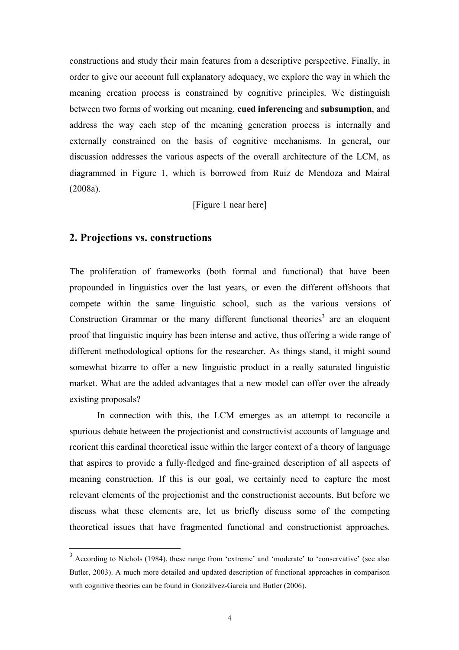constructions and study their main features from a descriptive perspective. Finally, in order to give our account full explanatory adequacy, we explore the way in which the meaning creation process is constrained by cognitive principles. We distinguish between two forms of working out meaning, **cued inferencing** and **subsumption**, and address the way each step of the meaning generation process is internally and externally constrained on the basis of cognitive mechanisms. In general, our discussion addresses the various aspects of the overall architecture of the LCM, as diagrammed in Figure 1, which is borrowed from Ruiz de Mendoza and Mairal (2008a).

[Figure 1 near here]

#### **2. Projections vs. constructions**

The proliferation of frameworks (both formal and functional) that have been propounded in linguistics over the last years, or even the different offshoots that compete within the same linguistic school, such as the various versions of Construction Grammar or the many different functional theories<sup>3</sup> are an eloquent proof that linguistic inquiry has been intense and active, thus offering a wide range of different methodological options for the researcher. As things stand, it might sound somewhat bizarre to offer a new linguistic product in a really saturated linguistic market. What are the added advantages that a new model can offer over the already existing proposals?

In connection with this, the LCM emerges as an attempt to reconcile a spurious debate between the projectionist and constructivist accounts of language and reorient this cardinal theoretical issue within the larger context of a theory of language that aspires to provide a fully-fledged and fine-grained description of all aspects of meaning construction. If this is our goal, we certainly need to capture the most relevant elements of the projectionist and the constructionist accounts. But before we discuss what these elements are, let us briefly discuss some of the competing theoretical issues that have fragmented functional and constructionist approaches.

<sup>&</sup>lt;sup>3</sup> According to Nichols (1984), these range from 'extreme' and 'moderate' to 'conservative' (see also Butler, 2003). A much more detailed and updated description of functional approaches in comparison with cognitive theories can be found in Gonzálvez-García and Butler (2006).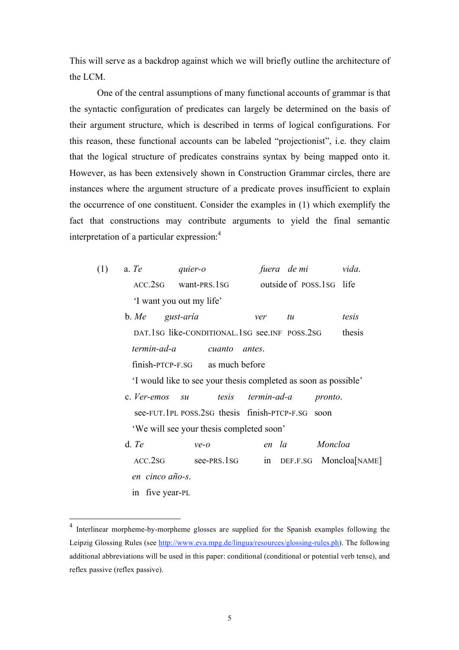This will serve as a backdrop against which we will briefly outline the architecture of the LCM.

One of the central assumptions of many functional accounts of grammar is that the syntactic configuration of predicates can largely be determined on the basis of their argument structure, which is described in terms of logical configurations. For this reason, these functional accounts can be labeled "projectionist", i.e. they claim that the logical structure of predicates constrains syntax by being mapped onto it. However, as has been extensively shown in Construction Grammar circles, there are instances where the argument structure of a predicate proves insufficient to explain the occurrence of one constituent. Consider the examples in (1) which exemplify the fact that constructions may contribute arguments to yield the final semantic interpretation of a particular expression: 4

| (1) | a. Te                    | quier-o              | fuera de mi               | vida. |
|-----|--------------------------|----------------------|---------------------------|-------|
|     |                          | ACC.2SG want-PRS.1SG | outside of POSS, 1SG life |       |
|     | 'I want you out my life' |                      |                           |       |

b. *Me gust-aría ver tu tesis* DAT.1SG like-CONDITIONAL.1SG see.INF POSS.2SG thesis *termin-ad-a cuanto antes*. finish-PTCP-F.SG as much before

'I would like to see your thesis completed as soon as possible'

- c. *Ver-emos su tesis termin-ad-a pronto*. see-FUT.1PL POSS.2SG thesis finish-PTCP-F.SG soon 'We will see your thesis completed soon'
- d. *Te ve-o en la Moncloa*  ACC.2SG see-PRS.1SG in DEF.F.SG Moncloa[NAME] *en cinco año-s*. in five year-PL

<sup>&</sup>lt;sup>4</sup> Interlinear morpheme-by-morpheme glosses are supplied for the Spanish examples following the Leipzig Glossing Rules (see http://www.eva.mpg.de/lingua/resources/glossing-rules.ph). The following additional abbreviations will be used in this paper: conditional (conditional or potential verb tense), and reflex passive (reflex passive).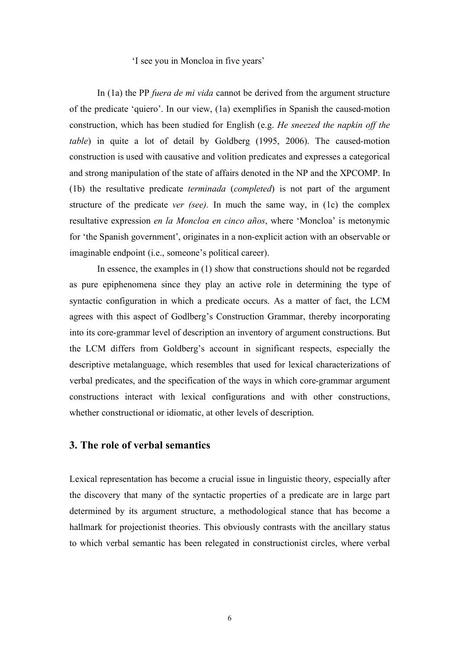#### 'I see you in Moncloa in five years'

In (1a) the PP *fuera de mi vida* cannot be derived from the argument structure of the predicate 'quiero'. In our view, (1a) exemplifies in Spanish the caused-motion construction, which has been studied for English (e.g. *He sneezed the napkin off the table*) in quite a lot of detail by Goldberg (1995, 2006). The caused-motion construction is used with causative and volition predicates and expresses a categorical and strong manipulation of the state of affairs denoted in the NP and the XPCOMP. In (1b) the resultative predicate *terminada* (*completed*) is not part of the argument structure of the predicate *ver (see).* In much the same way, in (1c) the complex resultative expression *en la Moncloa en cinco años*, where 'Moncloa' is metonymic for 'the Spanish government', originates in a non-explicit action with an observable or imaginable endpoint (i.e., someone's political career).

In essence, the examples in (1) show that constructions should not be regarded as pure epiphenomena since they play an active role in determining the type of syntactic configuration in which a predicate occurs. As a matter of fact, the LCM agrees with this aspect of Godlberg's Construction Grammar, thereby incorporating into its core-grammar level of description an inventory of argument constructions. But the LCM differs from Goldberg's account in significant respects, especially the descriptive metalanguage, which resembles that used for lexical characterizations of verbal predicates, and the specification of the ways in which core-grammar argument constructions interact with lexical configurations and with other constructions, whether constructional or idiomatic, at other levels of description.

### **3. The role of verbal semantics**

Lexical representation has become a crucial issue in linguistic theory, especially after the discovery that many of the syntactic properties of a predicate are in large part determined by its argument structure, a methodological stance that has become a hallmark for projectionist theories. This obviously contrasts with the ancillary status to which verbal semantic has been relegated in constructionist circles, where verbal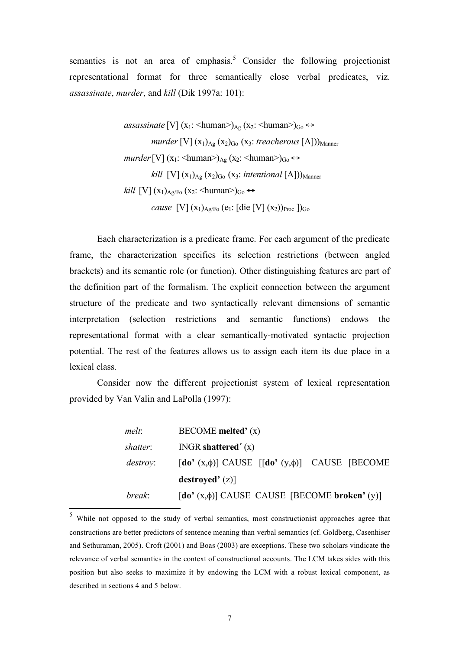semantics is not an area of emphasis.<sup>5</sup> Consider the following projectionist representational format for three semantically close verbal predicates, viz. *assassinate*, *murder*, and *kill* (Dik 1997a: 101):

> *[V]*  $(x_1: \langle \text{human} \rangle)_{Ag}$  $(x_2: \langle \text{human} \rangle)_{Go} \leftrightarrow$ *murder* [V]  $(x_1)_{Ag}$   $(x_2)_{Go}$   $(x_3$ : *treacherous* [A]) $)_{Manner}$  $murder$ [V]  $(x_1: \langle \text{human} \rangle)_{Ag}$   $(x_2: \langle \text{human} \rangle)_{Go} \leftrightarrow$ *kill*  $[V]$  ( $X_1$ )<sub>Ag</sub> ( $X_2$ )<sub>Go</sub> ( $X_3$ : *intentional* [A]))<sub>Manner</sub> *kill* [V]  $(x_1)_{Ag/Fo}$   $(x_2: \langle \text{human} \rangle)_{Go} \leftrightarrow$ *cause* [V]  $(x_1)_{A_2/F_0}$  (e<sub>1</sub>: [die [V]  $(x_2)_{Proc}$  ])<sub>Go</sub>

Each characterization is a predicate frame. For each argument of the predicate frame, the characterization specifies its selection restrictions (between angled brackets) and its semantic role (or function). Other distinguishing features are part of the definition part of the formalism. The explicit connection between the argument structure of the predicate and two syntactically relevant dimensions of semantic interpretation (selection restrictions and semantic functions) endows the representational format with a clear semantically-motivated syntactic projection potential. The rest of the features allows us to assign each item its due place in a lexical class.

Consider now the different projectionist system of lexical representation provided by Van Valin and LaPolla (1997):

| melt:           | $\text{BECOME}$ melted' $(x)$                                                                                            |
|-----------------|--------------------------------------------------------------------------------------------------------------------------|
| shatter:        | INGR shattered' $(x)$                                                                                                    |
| <i>destroy:</i> | $\lceil \text{do'}(x, \phi) \rceil$ CAUSE $\lceil \lceil \text{do'}(y, \phi) \rceil$ CAUSE $\lceil \text{BECOME} \rceil$ |
|                 | destroyed' (z)                                                                                                           |
| break:          | $\left[\text{do'}(x, \phi)\right]$ CAUSE CAUSE $\left[\text{BECOME broken'}(y)\right]$                                   |

 <sup>5</sup> While not opposed to the study of verbal semantics, most constructionist approaches agree that constructions are better predictors of sentence meaning than verbal semantics (cf. Goldberg, Casenhiser and Sethuraman, 2005). Croft (2001) and Boas (2003) are exceptions. These two scholars vindicate the relevance of verbal semantics in the context of constructional accounts. The LCM takes sides with this position but also seeks to maximize it by endowing the LCM with a robust lexical component, as described in sections 4 and 5 below.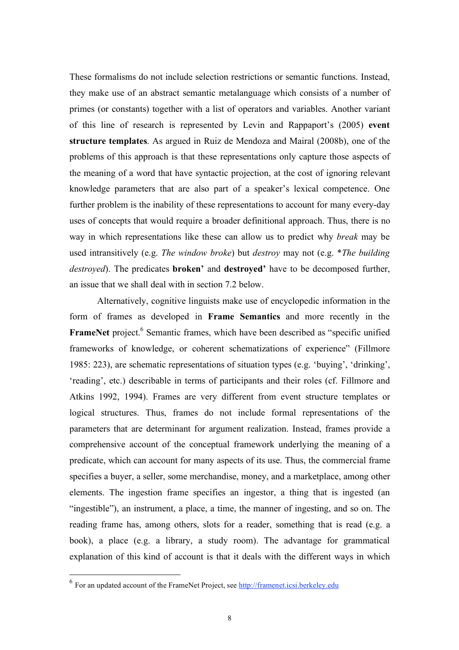These formalisms do not include selection restrictions or semantic functions. Instead, they make use of an abstract semantic metalanguage which consists of a number of primes (or constants) together with a list of operators and variables. Another variant of this line of research is represented by Levin and Rappaport's (2005) **event structure templates**. As argued in Ruiz de Mendoza and Mairal (2008b), one of the problems of this approach is that these representations only capture those aspects of the meaning of a word that have syntactic projection, at the cost of ignoring relevant knowledge parameters that are also part of a speaker's lexical competence. One further problem is the inability of these representations to account for many every-day uses of concepts that would require a broader definitional approach. Thus, there is no way in which representations like these can allow us to predict why *break* may be used intransitively (e.g. *The window broke*) but *destroy* may not (e.g. \**The building destroyed*). The predicates **broken'** and **destroyed'** have to be decomposed further, an issue that we shall deal with in section 7.2 below.

Alternatively, cognitive linguists make use of encyclopedic information in the form of frames as developed in **Frame Semantics** and more recently in the FrameNet project.<sup>6</sup> Semantic frames, which have been described as "specific unified frameworks of knowledge, or coherent schematizations of experience" (Fillmore 1985: 223), are schematic representations of situation types (e.g. 'buying', 'drinking', 'reading', etc.) describable in terms of participants and their roles (cf. Fillmore and Atkins 1992, 1994). Frames are very different from event structure templates or logical structures. Thus, frames do not include formal representations of the parameters that are determinant for argument realization. Instead, frames provide a comprehensive account of the conceptual framework underlying the meaning of a predicate, which can account for many aspects of its use. Thus, the commercial frame specifies a buyer, a seller, some merchandise, money, and a marketplace, among other elements. The ingestion frame specifies an ingestor, a thing that is ingested (an "ingestible"), an instrument, a place, a time, the manner of ingesting, and so on. The reading frame has, among others, slots for a reader, something that is read (e.g. a book), a place (e.g. a library, a study room). The advantage for grammatical explanation of this kind of account is that it deals with the different ways in which

 <sup>6</sup> For an updated account of the FrameNet Project, see http://framenet.icsi.berkeley.edu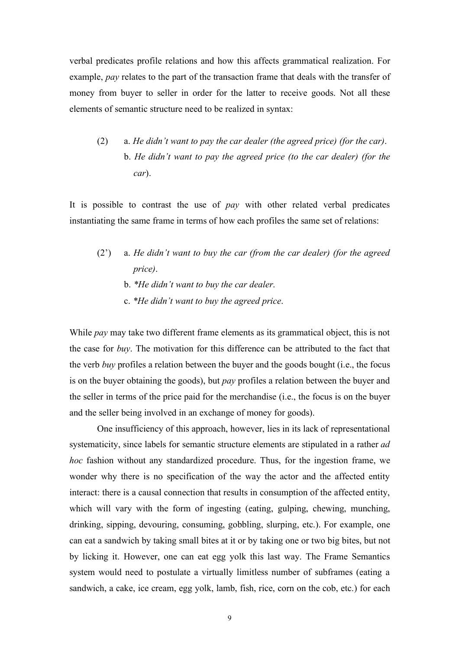verbal predicates profile relations and how this affects grammatical realization. For example, *pay* relates to the part of the transaction frame that deals with the transfer of money from buyer to seller in order for the latter to receive goods. Not all these elements of semantic structure need to be realized in syntax:

(2) a. *He didn't want to pay the car dealer (the agreed price) (for the car)*. b. *He didn't want to pay the agreed price (to the car dealer) (for the car*).

It is possible to contrast the use of *pay* with other related verbal predicates instantiating the same frame in terms of how each profiles the same set of relations:

- (2') a. *He didn't want to buy the car (from the car dealer) (for the agreed price)*.
	- b. *\*He didn't want to buy the car dealer*.
	- c. *\*He didn't want to buy the agreed price*.

While *pay* may take two different frame elements as its grammatical object, this is not the case for *buy*. The motivation for this difference can be attributed to the fact that the verb *buy* profiles a relation between the buyer and the goods bought (i.e., the focus is on the buyer obtaining the goods), but *pay* profiles a relation between the buyer and the seller in terms of the price paid for the merchandise (i.e., the focus is on the buyer and the seller being involved in an exchange of money for goods).

One insufficiency of this approach, however, lies in its lack of representational systematicity, since labels for semantic structure elements are stipulated in a rather *ad hoc* fashion without any standardized procedure. Thus, for the ingestion frame, we wonder why there is no specification of the way the actor and the affected entity interact: there is a causal connection that results in consumption of the affected entity, which will vary with the form of ingesting (eating, gulping, chewing, munching, drinking, sipping, devouring, consuming, gobbling, slurping, etc.). For example, one can eat a sandwich by taking small bites at it or by taking one or two big bites, but not by licking it. However, one can eat egg yolk this last way. The Frame Semantics system would need to postulate a virtually limitless number of subframes (eating a sandwich, a cake, ice cream, egg yolk, lamb, fish, rice, corn on the cob, etc.) for each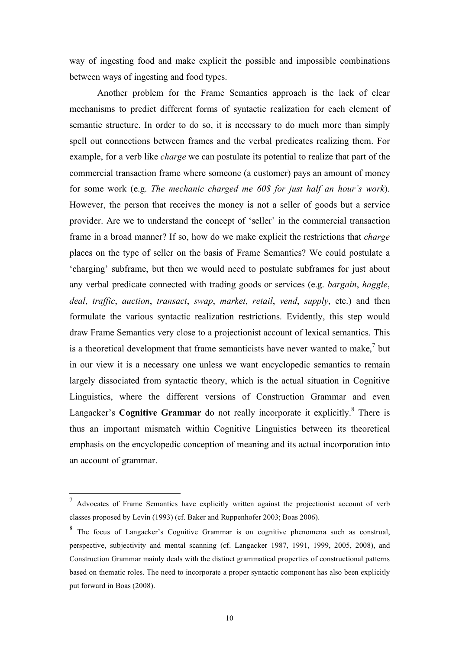way of ingesting food and make explicit the possible and impossible combinations between ways of ingesting and food types.

Another problem for the Frame Semantics approach is the lack of clear mechanisms to predict different forms of syntactic realization for each element of semantic structure. In order to do so, it is necessary to do much more than simply spell out connections between frames and the verbal predicates realizing them. For example, for a verb like *charge* we can postulate its potential to realize that part of the commercial transaction frame where someone (a customer) pays an amount of money for some work (e.g. *The mechanic charged me 60\$ for just half an hour's work*). However, the person that receives the money is not a seller of goods but a service provider. Are we to understand the concept of 'seller' in the commercial transaction frame in a broad manner? If so, how do we make explicit the restrictions that *charge* places on the type of seller on the basis of Frame Semantics? We could postulate a 'charging' subframe, but then we would need to postulate subframes for just about any verbal predicate connected with trading goods or services (e.g. *bargain*, *haggle*, *deal*, *traffic*, *auction*, *transact*, *swap*, *market*, *retail*, *vend*, *supply*, etc.) and then formulate the various syntactic realization restrictions. Evidently, this step would draw Frame Semantics very close to a projectionist account of lexical semantics. This is a theoretical development that frame semanticists have never wanted to make,<sup>7</sup> but in our view it is a necessary one unless we want encyclopedic semantics to remain largely dissociated from syntactic theory, which is the actual situation in Cognitive Linguistics, where the different versions of Construction Grammar and even Langacker's **Cognitive Grammar** do not really incorporate it explicitly.<sup>8</sup> There is thus an important mismatch within Cognitive Linguistics between its theoretical emphasis on the encyclopedic conception of meaning and its actual incorporation into an account of grammar.

 $<sup>7</sup>$  Advocates of Frame Semantics have explicitly written against the projectionist account of verb</sup> classes proposed by Levin (1993) (cf. Baker and Ruppenhofer 2003; Boas 2006).

<sup>&</sup>lt;sup>8</sup> The focus of Langacker's Cognitive Grammar is on cognitive phenomena such as construal, perspective, subjectivity and mental scanning (cf. Langacker 1987, 1991, 1999, 2005, 2008), and Construction Grammar mainly deals with the distinct grammatical properties of constructional patterns based on thematic roles. The need to incorporate a proper syntactic component has also been explicitly put forward in Boas (2008).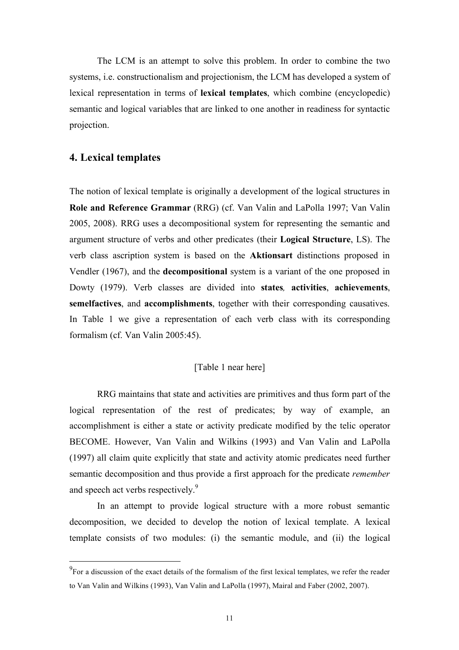The LCM is an attempt to solve this problem. In order to combine the two systems, i.e. constructionalism and projectionism, the LCM has developed a system of lexical representation in terms of **lexical templates**, which combine (encyclopedic) semantic and logical variables that are linked to one another in readiness for syntactic projection.

### **4. Lexical templates**

The notion of lexical template is originally a development of the logical structures in **Role and Reference Grammar** (RRG) (cf. Van Valin and LaPolla 1997; Van Valin 2005, 2008). RRG uses a decompositional system for representing the semantic and argument structure of verbs and other predicates (their **Logical Structure**, LS). The verb class ascription system is based on the **Aktionsart** distinctions proposed in Vendler (1967), and the **decompositional** system is a variant of the one proposed in Dowty (1979). Verb classes are divided into **states***,* **activities**, **achievements**, **semelfactives**, and **accomplishments**, together with their corresponding causatives. In Table 1 we give a representation of each verb class with its corresponding formalism (cf. Van Valin 2005:45).

### [Table 1 near here]

RRG maintains that state and activities are primitives and thus form part of the logical representation of the rest of predicates; by way of example, an accomplishment is either a state or activity predicate modified by the telic operator BECOME. However, Van Valin and Wilkins (1993) and Van Valin and LaPolla (1997) all claim quite explicitly that state and activity atomic predicates need further semantic decomposition and thus provide a first approach for the predicate *remember* and speech act verbs respectively.<sup>9</sup>

In an attempt to provide logical structure with a more robust semantic decomposition, we decided to develop the notion of lexical template. A lexical template consists of two modules: (i) the semantic module, and (ii) the logical

<sup>&</sup>lt;sup>9</sup>For a discussion of the exact details of the formalism of the first lexical templates, we refer the reader to Van Valin and Wilkins (1993), Van Valin and LaPolla (1997), Mairal and Faber (2002, 2007).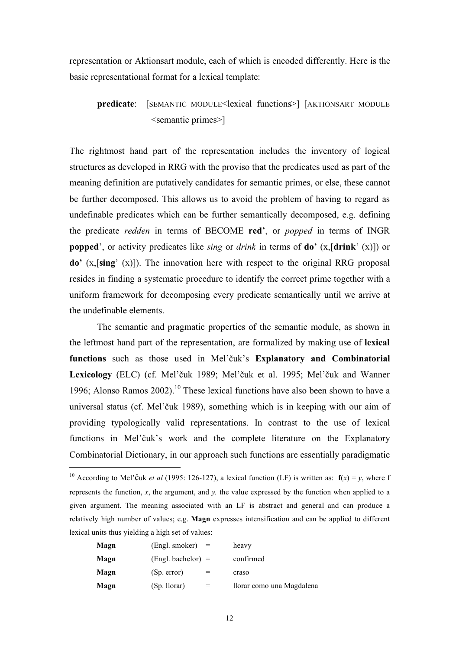representation or Aktionsart module, each of which is encoded differently. Here is the basic representational format for a lexical template:

### **predicate**: [SEMANTIC MODULE<lexical functions>] [AKTIONSART MODULE <semantic primes>]

The rightmost hand part of the representation includes the inventory of logical structures as developed in RRG with the proviso that the predicates used as part of the meaning definition are putatively candidates for semantic primes, or else, these cannot be further decomposed. This allows us to avoid the problem of having to regard as undefinable predicates which can be further semantically decomposed, e.g. defining the predicate *redden* in terms of BECOME **red'**, or *popped* in terms of INGR **popped**', or activity predicates like *sing* or *drink* in terms of **do'** (x,[**drink**' (x)]) or **do'** (x,[**sing**' (x)]). The innovation here with respect to the original RRG proposal resides in finding a systematic procedure to identify the correct prime together with a uniform framework for decomposing every predicate semantically until we arrive at the undefinable elements.

The semantic and pragmatic properties of the semantic module, as shown in the leftmost hand part of the representation, are formalized by making use of **lexical functions** such as those used in Mel'čuk's **Explanatory and Combinatorial Lexicology** (ELC) (cf. Mel'čuk 1989; Mel'čuk et al. 1995; Mel'čuk and Wanner 1996; Alonso Ramos 2002). 10 These lexical functions have also been shown to have a universal status (cf. Mel'čuk 1989), something which is in keeping with our aim of providing typologically valid representations. In contrast to the use of lexical functions in Mel'čuk's work and the complete literature on the Explanatory Combinatorial Dictionary, in our approach such functions are essentially paradigmatic

<sup>&</sup>lt;sup>10</sup> According to Mel'Čuk *et al* (1995: 126-127), a lexical function (LF) is written as:  $f(x) = v$ , where f represents the function, *x*, the argument, and *y,* the value expressed by the function when applied to a given argument. The meaning associated with an LF is abstract and general and can produce a relatively high number of values; e.g. **Magn** expresses intensification and can be applied to different lexical units thus yielding a high set of values:

| Magn | $(Engl. smoker) =$      |     | heavy                     |
|------|-------------------------|-----|---------------------------|
| Magn | $(English, bachelor) =$ |     | confirmed                 |
| Magn | (Sp. error)             |     | craso                     |
| Magn | (Sp. llorar)            | $=$ | llorar como una Magdalena |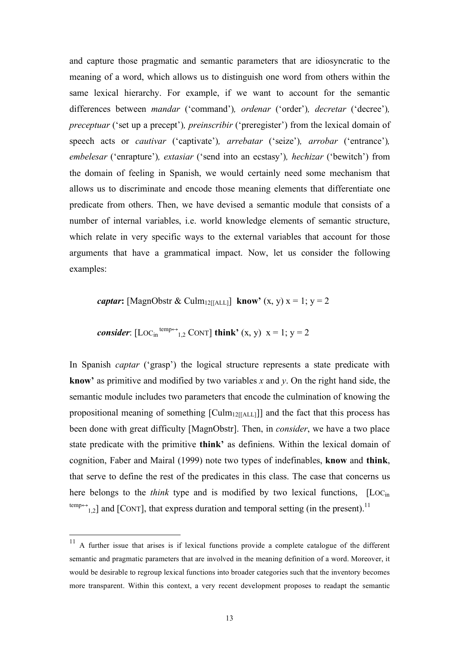and capture those pragmatic and semantic parameters that are idiosyncratic to the meaning of a word, which allows us to distinguish one word from others within the same lexical hierarchy. For example, if we want to account for the semantic differences between *mandar* ('command')*, ordenar* ('order')*, decretar* ('decree')*, preceptuar* ('set up a precept')*, preinscribir* ('preregister') from the lexical domain of speech acts or *cautivar* ('captivate')*, arrebatar* ('seize')*, arrobar* ('entrance')*, embelesar* ('enrapture')*, extasiar* ('send into an ecstasy')*, hechizar* ('bewitch') from the domain of feeling in Spanish, we would certainly need some mechanism that allows us to discriminate and encode those meaning elements that differentiate one predicate from others. Then, we have devised a semantic module that consists of a number of internal variables, i.e. world knowledge elements of semantic structure, which relate in very specific ways to the external variables that account for those arguments that have a grammatical impact. Now, let us consider the following examples:

*captar***:** [MagnObstr & Culm<sub>12[[ALL]</sub> **know**<sup> $\prime$ </sup> (x, y) x = 1; y = 2

*consider*: 
$$
[Loc_{in}^{temp \leftrightarrow}{}_{1,2}^{\circ} \text{CONT}]
$$
 **think**'  $(x, y) \, x = 1; y = 2$ 

In Spanish *captar* ('grasp') the logical structure represents a state predicate with **know'** as primitive and modified by two variables *x* and *y*. On the right hand side, the semantic module includes two parameters that encode the culmination of knowing the propositional meaning of something  $\lceil \text{Culm}_{12}[\text{ALL}]\rceil$  and the fact that this process has been done with great difficulty [MagnObstr]. Then, in *consider*, we have a two place state predicate with the primitive **think'** as definiens. Within the lexical domain of cognition, Faber and Mairal (1999) note two types of indefinables, **know** and **think**, that serve to define the rest of the predicates in this class. The case that concerns us here belongs to the *think* type and is modified by two lexical functions, [Loc<sub>in</sub>]  $\text{temp} \rightarrow$ <sub>1,2</sub>] and [CONT], that express duration and temporal setting (in the present).<sup>11</sup>

<sup>&</sup>lt;sup>11</sup> A further issue that arises is if lexical functions provide a complete catalogue of the different semantic and pragmatic parameters that are involved in the meaning definition of a word. Moreover, it would be desirable to regroup lexical functions into broader categories such that the inventory becomes more transparent. Within this context, a very recent development proposes to readapt the semantic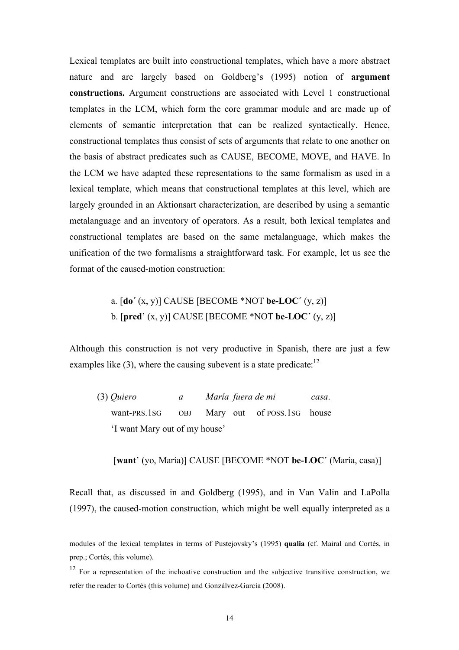Lexical templates are built into constructional templates, which have a more abstract nature and are largely based on Goldberg's (1995) notion of **argument constructions.** Argument constructions are associated with Level 1 constructional templates in the LCM, which form the core grammar module and are made up of elements of semantic interpretation that can be realized syntactically. Hence, constructional templates thus consist of sets of arguments that relate to one another on the basis of abstract predicates such as CAUSE, BECOME, MOVE, and HAVE. In the LCM we have adapted these representations to the same formalism as used in a lexical template, which means that constructional templates at this level, which are largely grounded in an Aktionsart characterization, are described by using a semantic metalanguage and an inventory of operators. As a result, both lexical templates and constructional templates are based on the same metalanguage, which makes the unification of the two formalisms a straightforward task. For example, let us see the format of the caused-motion construction:

### a. [**do´** (x, y)] CAUSE [BECOME \*NOT **be-LOC´** (y, z)] b. [**pred**' (x, y)] CAUSE [BECOME \*NOT **be-LOC´** (y, z)]

Although this construction is not very productive in Spanish, there are just a few examples like  $(3)$ , where the causing subevent is a state predicate:<sup>12</sup>

| $(3)$ Quiero                  | $\mathfrak{a}$ |  |  | María fuera de mi                           | casa. |
|-------------------------------|----------------|--|--|---------------------------------------------|-------|
|                               |                |  |  | want-PRS.1sG OBJ Mary out of POSS.1sG house |       |
| 'I want Mary out of my house' |                |  |  |                                             |       |

[**want**' (yo, María)] CAUSE [BECOME \*NOT **be-LOC´** (María, casa)]

Recall that, as discussed in and Goldberg (1995), and in Van Valin and LaPolla (1997), the caused-motion construction, which might be well equally interpreted as a

modules of the lexical templates in terms of Pustejovsky's (1995) **qualia** (cf. Mairal and Cortés, in prep.; Cortés, this volume).

 $12$  For a representation of the inchoative construction and the subjective transitive construction, we refer the reader to Cortés (this volume) and Gonzálvez-García (2008).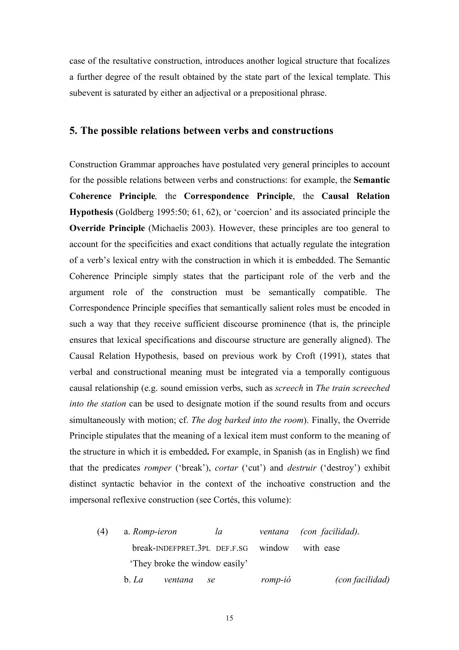case of the resultative construction, introduces another logical structure that focalizes a further degree of the result obtained by the state part of the lexical template. This subevent is saturated by either an adjectival or a prepositional phrase.

#### **5. The possible relations between verbs and constructions**

Construction Grammar approaches have postulated very general principles to account for the possible relations between verbs and constructions: for example, the **Semantic Coherence Principle***,* the **Correspondence Principle**, the **Causal Relation Hypothesis** (Goldberg 1995:50; 61, 62), or 'coercion' and its associated principle the **Override Principle** (Michaelis 2003). However, these principles are too general to account for the specificities and exact conditions that actually regulate the integration of a verb's lexical entry with the construction in which it is embedded. The Semantic Coherence Principle simply states that the participant role of the verb and the argument role of the construction must be semantically compatible. The Correspondence Principle specifies that semantically salient roles must be encoded in such a way that they receive sufficient discourse prominence (that is, the principle ensures that lexical specifications and discourse structure are generally aligned). The Causal Relation Hypothesis, based on previous work by Croft (1991), states that verbal and constructional meaning must be integrated via a temporally contiguous causal relationship (e.g. sound emission verbs, such as *screech* in *The train screeched into the station* can be used to designate motion if the sound results from and occurs simultaneously with motion; cf. *The dog barked into the room*). Finally, the Override Principle stipulates that the meaning of a lexical item must conform to the meaning of the structure in which it is embedded**.** For example, in Spanish (as in English) we find that the predicates *romper* ('break'), *cortar* ('cut') and *destruir* ('destroy') exhibit distinct syntactic behavior in the context of the inchoative construction and the impersonal reflexive construction (see Cortés, this volume):

(4) a. *Romp-ieron la ventana (con facilidad)*. break-INDEFPRET.3PL DEF.F.SG window with ease 'They broke the window easily' b. *La ventana se romp-ió (con facilidad)*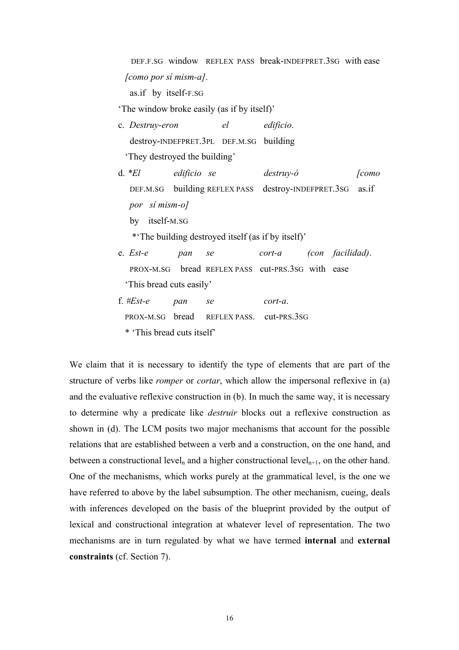DEF.F.SG window REFLEX PASS break-INDEFPRET.3SG with ease *[como por sí mism-a]*.

as.if by itself-F.SG

'The window broke easily (as if by itself)'

c. *Destruy-eron el edificio*. destroy-INDEFPRET.3PL DEF.M.SG building 'They destroyed the building'

d. *\*El edificio se destruy-ó [como* DEF.M.SG building REFLEX PASS destroy-INDEFPRET.3SG as.if *por sí mism-o]* by itself-M.SG \*'The building destroyed itself (as if by itself)' e. *Est-e pan se cort-a (con facilidad)*.

- PROX-M.SG bread REFLEX PASS cut-PRS.3SG with ease 'This bread cuts easily'
- f. *#Est-e pan se cort-a*. PROX-M.SG bread REFLEX PASS. cut-PRS.3SG \* 'This bread cuts itself'

We claim that it is necessary to identify the type of elements that are part of the structure of verbs like *romper* or *cortar*, which allow the impersonal reflexive in (a) and the evaluative reflexive construction in (b). In much the same way, it is necessary to determine why a predicate like *destruir* blocks out a reflexive construction as shown in (d). The LCM posits two major mechanisms that account for the possible relations that are established between a verb and a construction, on the one hand, and between a constructional level<sub>n</sub> and a higher constructional level<sub>n+1</sub>, on the other hand. One of the mechanisms, which works purely at the grammatical level, is the one we have referred to above by the label subsumption. The other mechanism, cueing, deals with inferences developed on the basis of the blueprint provided by the output of lexical and constructional integration at whatever level of representation. The two mechanisms are in turn regulated by what we have termed **internal** and **external constraints** (cf. Section 7).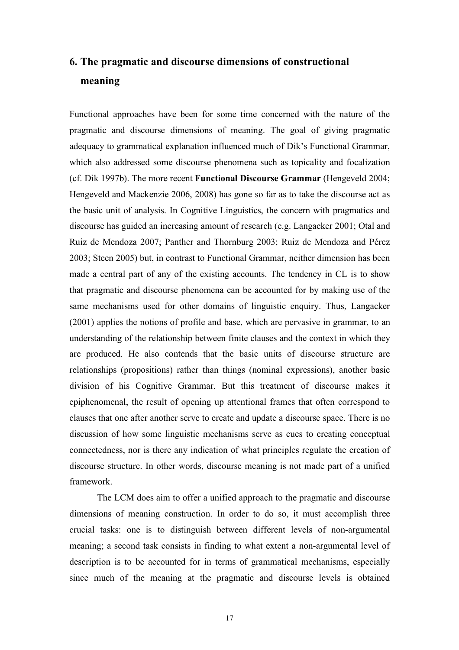## **6. The pragmatic and discourse dimensions of constructional meaning**

Functional approaches have been for some time concerned with the nature of the pragmatic and discourse dimensions of meaning. The goal of giving pragmatic adequacy to grammatical explanation influenced much of Dik's Functional Grammar, which also addressed some discourse phenomena such as topicality and focalization (cf. Dik 1997b). The more recent **Functional Discourse Grammar** (Hengeveld 2004; Hengeveld and Mackenzie 2006, 2008) has gone so far as to take the discourse act as the basic unit of analysis. In Cognitive Linguistics, the concern with pragmatics and discourse has guided an increasing amount of research (e.g. Langacker 2001; Otal and Ruiz de Mendoza 2007; Panther and Thornburg 2003; Ruiz de Mendoza and Pérez 2003; Steen 2005) but, in contrast to Functional Grammar, neither dimension has been made a central part of any of the existing accounts. The tendency in CL is to show that pragmatic and discourse phenomena can be accounted for by making use of the same mechanisms used for other domains of linguistic enquiry. Thus, Langacker (2001) applies the notions of profile and base, which are pervasive in grammar, to an understanding of the relationship between finite clauses and the context in which they are produced. He also contends that the basic units of discourse structure are relationships (propositions) rather than things (nominal expressions), another basic division of his Cognitive Grammar. But this treatment of discourse makes it epiphenomenal, the result of opening up attentional frames that often correspond to clauses that one after another serve to create and update a discourse space. There is no discussion of how some linguistic mechanisms serve as cues to creating conceptual connectedness, nor is there any indication of what principles regulate the creation of discourse structure. In other words, discourse meaning is not made part of a unified framework.

The LCM does aim to offer a unified approach to the pragmatic and discourse dimensions of meaning construction. In order to do so, it must accomplish three crucial tasks: one is to distinguish between different levels of non-argumental meaning; a second task consists in finding to what extent a non-argumental level of description is to be accounted for in terms of grammatical mechanisms, especially since much of the meaning at the pragmatic and discourse levels is obtained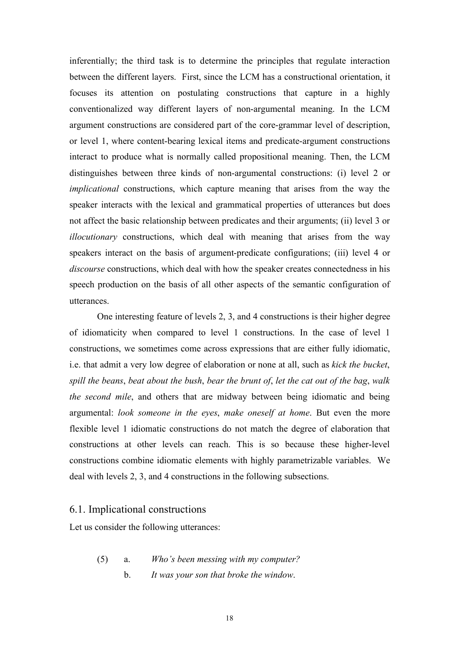inferentially; the third task is to determine the principles that regulate interaction between the different layers. First, since the LCM has a constructional orientation, it focuses its attention on postulating constructions that capture in a highly conventionalized way different layers of non-argumental meaning. In the LCM argument constructions are considered part of the core-grammar level of description, or level 1, where content-bearing lexical items and predicate-argument constructions interact to produce what is normally called propositional meaning. Then, the LCM distinguishes between three kinds of non-argumental constructions: (i) level 2 or *implicational* constructions, which capture meaning that arises from the way the speaker interacts with the lexical and grammatical properties of utterances but does not affect the basic relationship between predicates and their arguments; (ii) level 3 or *illocutionary* constructions, which deal with meaning that arises from the way speakers interact on the basis of argument-predicate configurations; (iii) level 4 or *discourse* constructions, which deal with how the speaker creates connectedness in his speech production on the basis of all other aspects of the semantic configuration of utterances.

One interesting feature of levels 2, 3, and 4 constructions is their higher degree of idiomaticity when compared to level 1 constructions. In the case of level 1 constructions, we sometimes come across expressions that are either fully idiomatic, i.e. that admit a very low degree of elaboration or none at all, such as *kick the bucket*, *spill the beans*, *beat about the bush*, *bear the brunt of*, *let the cat out of the bag*, *walk the second mile*, and others that are midway between being idiomatic and being argumental: *look someone in the eyes*, *make oneself at home*. But even the more flexible level 1 idiomatic constructions do not match the degree of elaboration that constructions at other levels can reach. This is so because these higher-level constructions combine idiomatic elements with highly parametrizable variables. We deal with levels 2, 3, and 4 constructions in the following subsections.

#### 6.1. Implicational constructions

Let us consider the following utterances:

(5) a. *Who's been messing with my computer?* b. *It was your son that broke the window*.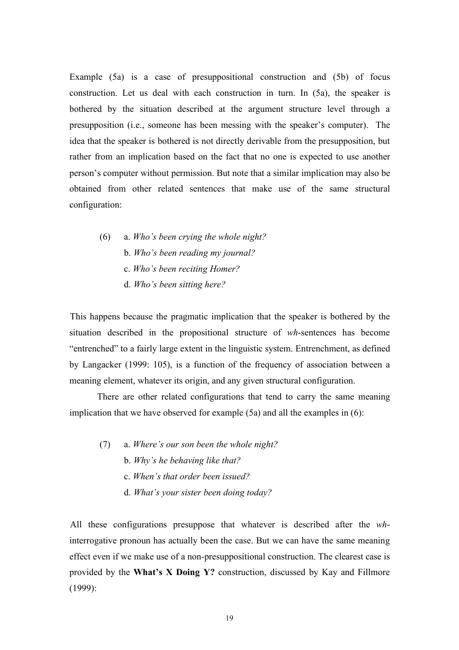Example (5a) is a case of presuppositional construction and (5b) of focus construction. Let us deal with each construction in turn. In (5a), the speaker is bothered by the situation described at the argument structure level through a presupposition (i.e., someone has been messing with the speaker's computer). The idea that the speaker is bothered is not directly derivable from the presupposition, but rather from an implication based on the fact that no one is expected to use another person's computer without permission. But note that a similar implication may also be obtained from other related sentences that make use of the same structural configuration:

(6) a. *Who's been crying the whole night?* b. *Who's been reading my journal?* c. *Who's been reciting Homer?* d. *Who's been sitting here?*

This happens because the pragmatic implication that the speaker is bothered by the situation described in the propositional structure of *wh*-sentences has become "entrenched" to a fairly large extent in the linguistic system. Entrenchment, as defined by Langacker (1999: 105), is a function of the frequency of association between a meaning element, whatever its origin, and any given structural configuration.

There are other related configurations that tend to carry the same meaning implication that we have observed for example (5a) and all the examples in (6):

(7) a. *Where's our son been the whole night?* b. *Why's he behaving like that?* c. *When's that order been issued?* d. *What's your sister been doing today?*

All these configurations presuppose that whatever is described after the *wh*interrogative pronoun has actually been the case. But we can have the same meaning effect even if we make use of a non-presuppositional construction. The clearest case is provided by the **What's X Doing Y?** construction, discussed by Kay and Fillmore (1999):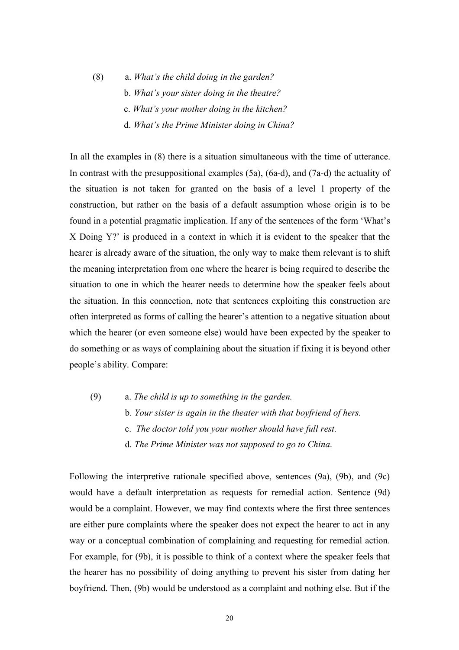(8) a. *What's the child doing in the garden?* b. *What's your sister doing in the theatre?* c. *What's your mother doing in the kitchen?* d. *What's the Prime Minister doing in China?*

In all the examples in (8) there is a situation simultaneous with the time of utterance. In contrast with the presuppositional examples (5a), (6a-d), and (7a-d) the actuality of the situation is not taken for granted on the basis of a level 1 property of the construction, but rather on the basis of a default assumption whose origin is to be found in a potential pragmatic implication. If any of the sentences of the form 'What's X Doing Y?' is produced in a context in which it is evident to the speaker that the hearer is already aware of the situation, the only way to make them relevant is to shift the meaning interpretation from one where the hearer is being required to describe the situation to one in which the hearer needs to determine how the speaker feels about the situation. In this connection, note that sentences exploiting this construction are often interpreted as forms of calling the hearer's attention to a negative situation about which the hearer (or even someone else) would have been expected by the speaker to do something or as ways of complaining about the situation if fixing it is beyond other people's ability. Compare:

- (9) a. *The child is up to something in the garden.*
	- b. *Your sister is again in the theater with that boyfriend of hers*.
	- c. *The doctor told you your mother should have full rest*.
	- d. *The Prime Minister was not supposed to go to China*.

Following the interpretive rationale specified above, sentences (9a), (9b), and (9c) would have a default interpretation as requests for remedial action. Sentence (9d) would be a complaint. However, we may find contexts where the first three sentences are either pure complaints where the speaker does not expect the hearer to act in any way or a conceptual combination of complaining and requesting for remedial action. For example, for (9b), it is possible to think of a context where the speaker feels that the hearer has no possibility of doing anything to prevent his sister from dating her boyfriend. Then, (9b) would be understood as a complaint and nothing else. But if the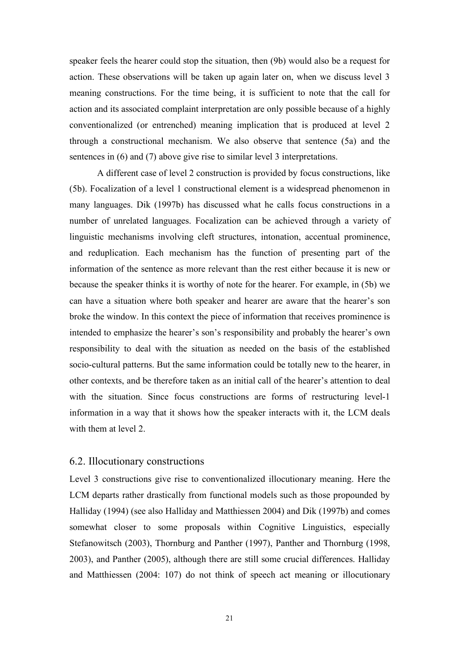speaker feels the hearer could stop the situation, then (9b) would also be a request for action. These observations will be taken up again later on, when we discuss level 3 meaning constructions. For the time being, it is sufficient to note that the call for action and its associated complaint interpretation are only possible because of a highly conventionalized (or entrenched) meaning implication that is produced at level 2 through a constructional mechanism. We also observe that sentence (5a) and the sentences in (6) and (7) above give rise to similar level 3 interpretations.

A different case of level 2 construction is provided by focus constructions, like (5b). Focalization of a level 1 constructional element is a widespread phenomenon in many languages. Dik (1997b) has discussed what he calls focus constructions in a number of unrelated languages. Focalization can be achieved through a variety of linguistic mechanisms involving cleft structures, intonation, accentual prominence, and reduplication. Each mechanism has the function of presenting part of the information of the sentence as more relevant than the rest either because it is new or because the speaker thinks it is worthy of note for the hearer. For example, in (5b) we can have a situation where both speaker and hearer are aware that the hearer's son broke the window. In this context the piece of information that receives prominence is intended to emphasize the hearer's son's responsibility and probably the hearer's own responsibility to deal with the situation as needed on the basis of the established socio-cultural patterns. But the same information could be totally new to the hearer, in other contexts, and be therefore taken as an initial call of the hearer's attention to deal with the situation. Since focus constructions are forms of restructuring level-1 information in a way that it shows how the speaker interacts with it, the LCM deals with them at level 2.

### 6.2. Illocutionary constructions

Level 3 constructions give rise to conventionalized illocutionary meaning. Here the LCM departs rather drastically from functional models such as those propounded by Halliday (1994) (see also Halliday and Matthiessen 2004) and Dik (1997b) and comes somewhat closer to some proposals within Cognitive Linguistics, especially Stefanowitsch (2003), Thornburg and Panther (1997), Panther and Thornburg (1998, 2003), and Panther (2005), although there are still some crucial differences. Halliday and Matthiessen (2004: 107) do not think of speech act meaning or illocutionary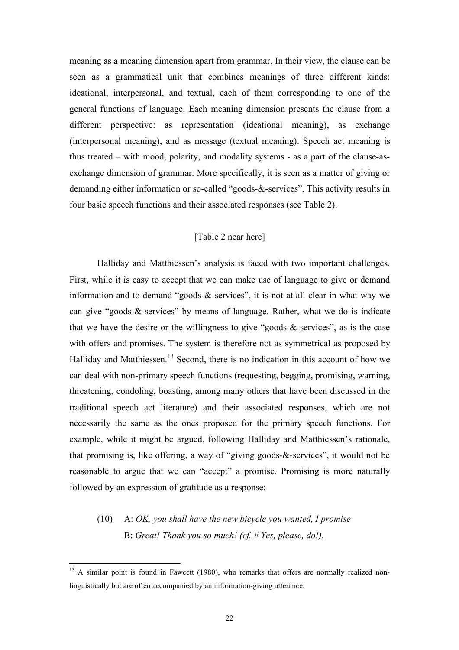meaning as a meaning dimension apart from grammar. In their view, the clause can be seen as a grammatical unit that combines meanings of three different kinds: ideational, interpersonal, and textual, each of them corresponding to one of the general functions of language. Each meaning dimension presents the clause from a different perspective: as representation (ideational meaning), as exchange (interpersonal meaning), and as message (textual meaning). Speech act meaning is thus treated – with mood, polarity, and modality systems - as a part of the clause-asexchange dimension of grammar. More specifically, it is seen as a matter of giving or demanding either information or so-called "goods-&-services". This activity results in four basic speech functions and their associated responses (see Table 2).

#### [Table 2 near here]

Halliday and Matthiessen's analysis is faced with two important challenges. First, while it is easy to accept that we can make use of language to give or demand information and to demand "goods-&-services", it is not at all clear in what way we can give "goods-&-services" by means of language. Rather, what we do is indicate that we have the desire or the willingness to give "goods-&-services", as is the case with offers and promises. The system is therefore not as symmetrical as proposed by Halliday and Matthiessen.<sup>13</sup> Second, there is no indication in this account of how we can deal with non-primary speech functions (requesting, begging, promising, warning, threatening, condoling, boasting, among many others that have been discussed in the traditional speech act literature) and their associated responses, which are not necessarily the same as the ones proposed for the primary speech functions. For example, while it might be argued, following Halliday and Matthiessen's rationale, that promising is, like offering, a way of "giving goods-&-services", it would not be reasonable to argue that we can "accept" a promise. Promising is more naturally followed by an expression of gratitude as a response:

## (10) A: *OK, you shall have the new bicycle you wanted, I promise* B: *Great! Thank you so much! (cf. # Yes, please, do!).*

 $13$  A similar point is found in Fawcett (1980), who remarks that offers are normally realized nonlinguistically but are often accompanied by an information-giving utterance.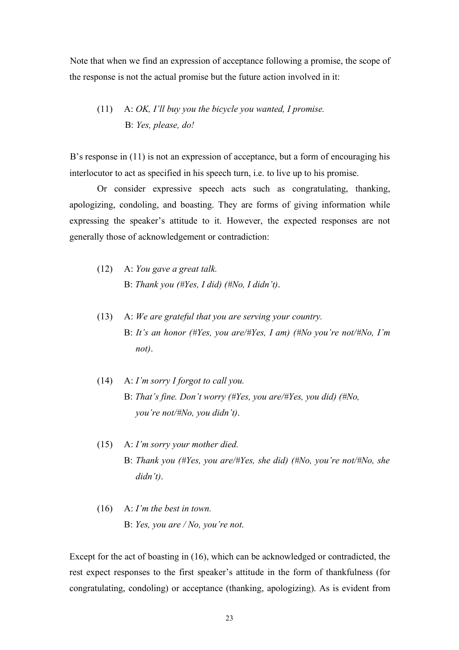Note that when we find an expression of acceptance following a promise, the scope of the response is not the actual promise but the future action involved in it:

## (11) A: *OK, I'll buy you the bicycle you wanted, I promise.* B: *Yes, please, do!*

B's response in (11) is not an expression of acceptance, but a form of encouraging his interlocutor to act as specified in his speech turn, i.e. to live up to his promise.

Or consider expressive speech acts such as congratulating, thanking, apologizing, condoling, and boasting. They are forms of giving information while expressing the speaker's attitude to it. However, the expected responses are not generally those of acknowledgement or contradiction:

- (12) A: *You gave a great talk.*  B: *Thank you (#Yes, I did) (#No, I didn't)*.
- (13) A: *We are grateful that you are serving your country.* B: *It's an honor (#Yes, you are/#Yes, I am) (#No you're not/#No, I'm not)*.
- (14) A: *I'm sorry I forgot to call you.* B: *That's fine. Don't worry (#Yes, you are/#Yes, you did) (#No, you're not/#No, you didn't)*.
- (15) A: *I'm sorry your mother died.* B: *Thank you (#Yes, you are/#Yes, she did) (#No, you're not/#No, she didn't)*.
- (16) A: *I'm the best in town.* B: *Yes, you are / No, you're not*.

Except for the act of boasting in (16), which can be acknowledged or contradicted, the rest expect responses to the first speaker's attitude in the form of thankfulness (for congratulating, condoling) or acceptance (thanking, apologizing). As is evident from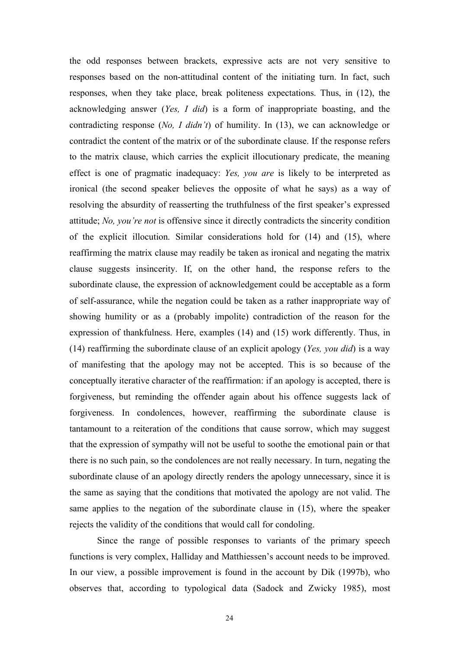the odd responses between brackets, expressive acts are not very sensitive to responses based on the non-attitudinal content of the initiating turn. In fact, such responses, when they take place, break politeness expectations. Thus, in (12), the acknowledging answer (*Yes, I did*) is a form of inappropriate boasting, and the contradicting response (*No, I didn't*) of humility. In (13), we can acknowledge or contradict the content of the matrix or of the subordinate clause. If the response refers to the matrix clause, which carries the explicit illocutionary predicate, the meaning effect is one of pragmatic inadequacy: *Yes, you are* is likely to be interpreted as ironical (the second speaker believes the opposite of what he says) as a way of resolving the absurdity of reasserting the truthfulness of the first speaker's expressed attitude; *No, you're not* is offensive since it directly contradicts the sincerity condition of the explicit illocution. Similar considerations hold for (14) and (15), where reaffirming the matrix clause may readily be taken as ironical and negating the matrix clause suggests insincerity. If, on the other hand, the response refers to the subordinate clause, the expression of acknowledgement could be acceptable as a form of self-assurance, while the negation could be taken as a rather inappropriate way of showing humility or as a (probably impolite) contradiction of the reason for the expression of thankfulness. Here, examples (14) and (15) work differently. Thus, in (14) reaffirming the subordinate clause of an explicit apology (*Yes, you did*) is a way of manifesting that the apology may not be accepted. This is so because of the conceptually iterative character of the reaffirmation: if an apology is accepted, there is forgiveness, but reminding the offender again about his offence suggests lack of forgiveness. In condolences, however, reaffirming the subordinate clause is tantamount to a reiteration of the conditions that cause sorrow, which may suggest that the expression of sympathy will not be useful to soothe the emotional pain or that there is no such pain, so the condolences are not really necessary. In turn, negating the subordinate clause of an apology directly renders the apology unnecessary, since it is the same as saying that the conditions that motivated the apology are not valid. The same applies to the negation of the subordinate clause in (15), where the speaker rejects the validity of the conditions that would call for condoling.

Since the range of possible responses to variants of the primary speech functions is very complex, Halliday and Matthiessen's account needs to be improved. In our view, a possible improvement is found in the account by Dik (1997b), who observes that, according to typological data (Sadock and Zwicky 1985), most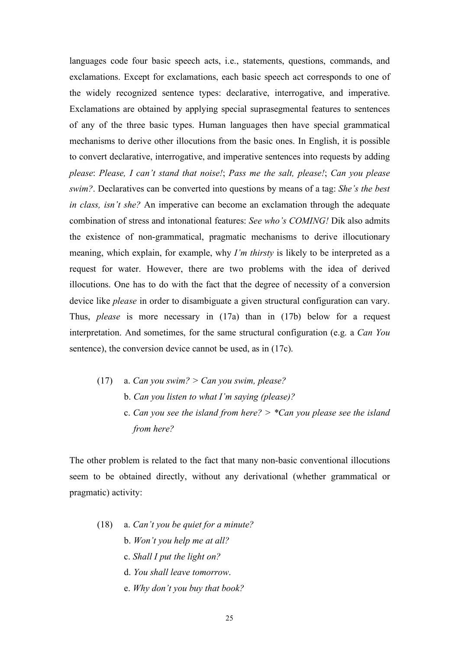languages code four basic speech acts, i.e., statements, questions, commands, and exclamations. Except for exclamations, each basic speech act corresponds to one of the widely recognized sentence types: declarative, interrogative, and imperative. Exclamations are obtained by applying special suprasegmental features to sentences of any of the three basic types. Human languages then have special grammatical mechanisms to derive other illocutions from the basic ones. In English, it is possible to convert declarative, interrogative, and imperative sentences into requests by adding *please*: *Please, I can't stand that noise!*; *Pass me the salt, please!*; *Can you please swim?*. Declaratives can be converted into questions by means of a tag: *She's the best in class, isn't she?* An imperative can become an exclamation through the adequate combination of stress and intonational features: *See who's COMING!* Dik also admits the existence of non-grammatical, pragmatic mechanisms to derive illocutionary meaning, which explain, for example, why *I'm thirsty* is likely to be interpreted as a request for water. However, there are two problems with the idea of derived illocutions. One has to do with the fact that the degree of necessity of a conversion device like *please* in order to disambiguate a given structural configuration can vary. Thus, *please* is more necessary in (17a) than in (17b) below for a request interpretation. And sometimes, for the same structural configuration (e.g. a *Can You* sentence), the conversion device cannot be used, as in (17c).

(17) a. *Can you swim? > Can you swim, please?* b. *Can you listen to what I'm saying (please)?* c. *Can you see the island from here? > \*Can you please see the island from here?*

The other problem is related to the fact that many non-basic conventional illocutions seem to be obtained directly, without any derivational (whether grammatical or pragmatic) activity:

- (18) a. *Can't you be quiet for a minute?*
	- b. *Won't you help me at all?*
	- c. *Shall I put the light on?*
	- d. *You shall leave tomorrow*.
	- e. *Why don't you buy that book?*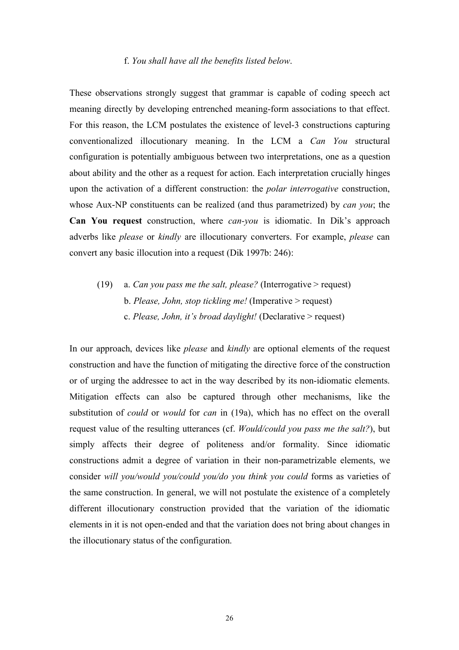#### f. *You shall have all the benefits listed below*.

These observations strongly suggest that grammar is capable of coding speech act meaning directly by developing entrenched meaning-form associations to that effect. For this reason, the LCM postulates the existence of level-3 constructions capturing conventionalized illocutionary meaning. In the LCM a *Can You* structural configuration is potentially ambiguous between two interpretations, one as a question about ability and the other as a request for action. Each interpretation crucially hinges upon the activation of a different construction: the *polar interrogative* construction, whose Aux-NP constituents can be realized (and thus parametrized) by *can you*; the **Can You request** construction, where *can-you* is idiomatic. In Dik's approach adverbs like *please* or *kindly* are illocutionary converters. For example, *please* can convert any basic illocution into a request (Dik 1997b: 246):

(19) a. *Can you pass me the salt, please?* (Interrogative > request) b. *Please, John, stop tickling me!* (Imperative > request) c. *Please, John, it's broad daylight!* (Declarative > request)

In our approach, devices like *please* and *kindly* are optional elements of the request construction and have the function of mitigating the directive force of the construction or of urging the addressee to act in the way described by its non-idiomatic elements. Mitigation effects can also be captured through other mechanisms, like the substitution of *could* or *would* for *can* in (19a), which has no effect on the overall request value of the resulting utterances (cf. *Would/could you pass me the salt?*), but simply affects their degree of politeness and/or formality. Since idiomatic constructions admit a degree of variation in their non-parametrizable elements, we consider *will you/would you/could you/do you think you could* forms as varieties of the same construction. In general, we will not postulate the existence of a completely different illocutionary construction provided that the variation of the idiomatic elements in it is not open-ended and that the variation does not bring about changes in the illocutionary status of the configuration.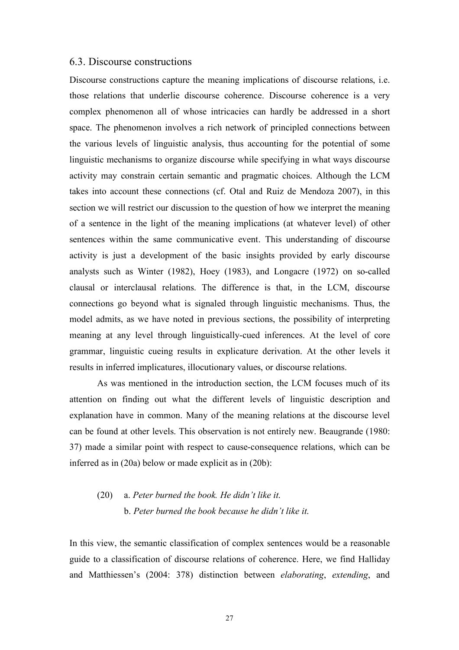#### 6.3. Discourse constructions

Discourse constructions capture the meaning implications of discourse relations, i.e. those relations that underlie discourse coherence. Discourse coherence is a very complex phenomenon all of whose intricacies can hardly be addressed in a short space. The phenomenon involves a rich network of principled connections between the various levels of linguistic analysis, thus accounting for the potential of some linguistic mechanisms to organize discourse while specifying in what ways discourse activity may constrain certain semantic and pragmatic choices. Although the LCM takes into account these connections (cf. Otal and Ruiz de Mendoza 2007), in this section we will restrict our discussion to the question of how we interpret the meaning of a sentence in the light of the meaning implications (at whatever level) of other sentences within the same communicative event. This understanding of discourse activity is just a development of the basic insights provided by early discourse analysts such as Winter (1982), Hoey (1983), and Longacre (1972) on so-called clausal or interclausal relations. The difference is that, in the LCM, discourse connections go beyond what is signaled through linguistic mechanisms. Thus, the model admits, as we have noted in previous sections, the possibility of interpreting meaning at any level through linguistically-cued inferences. At the level of core grammar, linguistic cueing results in explicature derivation. At the other levels it results in inferred implicatures, illocutionary values, or discourse relations.

As was mentioned in the introduction section, the LCM focuses much of its attention on finding out what the different levels of linguistic description and explanation have in common. Many of the meaning relations at the discourse level can be found at other levels. This observation is not entirely new. Beaugrande (1980: 37) made a similar point with respect to cause-consequence relations, which can be inferred as in (20a) below or made explicit as in (20b):

## (20) a. *Peter burned the book. He didn't like it*. b. *Peter burned the book because he didn't like it*.

In this view, the semantic classification of complex sentences would be a reasonable guide to a classification of discourse relations of coherence. Here, we find Halliday and Matthiessen's (2004: 378) distinction between *elaborating*, *extending*, and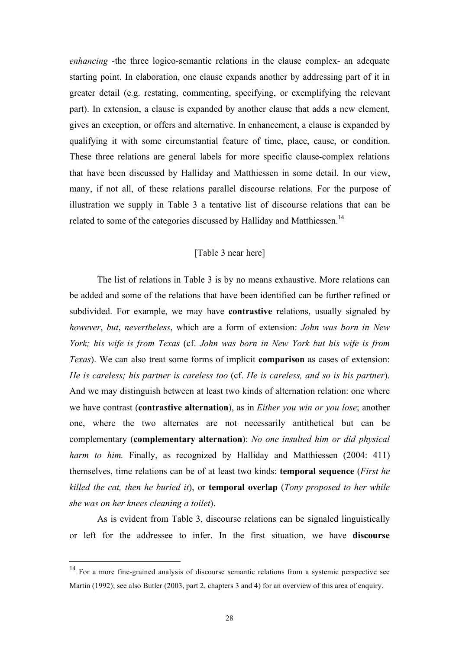*enhancing* -the three logico-semantic relations in the clause complex- an adequate starting point. In elaboration, one clause expands another by addressing part of it in greater detail (e.g. restating, commenting, specifying, or exemplifying the relevant part). In extension, a clause is expanded by another clause that adds a new element, gives an exception, or offers and alternative. In enhancement, a clause is expanded by qualifying it with some circumstantial feature of time, place, cause, or condition. These three relations are general labels for more specific clause-complex relations that have been discussed by Halliday and Matthiessen in some detail. In our view, many, if not all, of these relations parallel discourse relations. For the purpose of illustration we supply in Table 3 a tentative list of discourse relations that can be related to some of the categories discussed by Halliday and Matthiessen.<sup>14</sup>

### [Table 3 near here]

The list of relations in Table 3 is by no means exhaustive. More relations can be added and some of the relations that have been identified can be further refined or subdivided. For example, we may have **contrastive** relations, usually signaled by *however*, *but*, *nevertheless*, which are a form of extension: *John was born in New York; his wife is from Texas* (cf. *John was born in New York but his wife is from Texas*). We can also treat some forms of implicit **comparison** as cases of extension: *He is careless; his partner is careless too* (cf. *He is careless, and so is his partner*). And we may distinguish between at least two kinds of alternation relation: one where we have contrast (**contrastive alternation**), as in *Either you win or you lose*; another one, where the two alternates are not necessarily antithetical but can be complementary (**complementary alternation**): *No one insulted him or did physical harm to him.* Finally, as recognized by Halliday and Matthiessen (2004: 411) themselves, time relations can be of at least two kinds: **temporal sequence** (*First he killed the cat, then he buried it*), or **temporal overlap** (*Tony proposed to her while she was on her knees cleaning a toilet*).

As is evident from Table 3, discourse relations can be signaled linguistically or left for the addressee to infer. In the first situation, we have **discourse** 

<sup>&</sup>lt;sup>14</sup> For a more fine-grained analysis of discourse semantic relations from a systemic perspective see Martin (1992); see also Butler (2003, part 2, chapters 3 and 4) for an overview of this area of enquiry.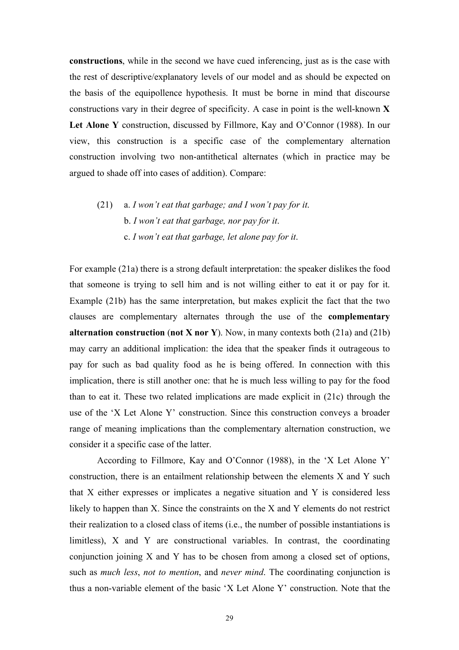**constructions**, while in the second we have cued inferencing, just as is the case with the rest of descriptive/explanatory levels of our model and as should be expected on the basis of the equipollence hypothesis. It must be borne in mind that discourse constructions vary in their degree of specificity. A case in point is the well-known **X**  Let Alone Y construction, discussed by Fillmore, Kay and O'Connor (1988). In our view, this construction is a specific case of the complementary alternation construction involving two non-antithetical alternates (which in practice may be argued to shade off into cases of addition). Compare:

## (21) a. *I won't eat that garbage; and I won't pay for it*. b. *I won't eat that garbage, nor pay for it*. c. *I won't eat that garbage, let alone pay for it*.

For example (21a) there is a strong default interpretation: the speaker dislikes the food that someone is trying to sell him and is not willing either to eat it or pay for it. Example (21b) has the same interpretation, but makes explicit the fact that the two clauses are complementary alternates through the use of the **complementary alternation construction** (**not X nor Y**). Now, in many contexts both (21a) and (21b) may carry an additional implication: the idea that the speaker finds it outrageous to pay for such as bad quality food as he is being offered. In connection with this implication, there is still another one: that he is much less willing to pay for the food than to eat it. These two related implications are made explicit in (21c) through the use of the 'X Let Alone Y' construction. Since this construction conveys a broader range of meaning implications than the complementary alternation construction, we consider it a specific case of the latter.

According to Fillmore, Kay and O'Connor (1988), in the 'X Let Alone Y' construction, there is an entailment relationship between the elements X and Y such that X either expresses or implicates a negative situation and Y is considered less likely to happen than X. Since the constraints on the X and Y elements do not restrict their realization to a closed class of items (i.e., the number of possible instantiations is limitless), X and Y are constructional variables. In contrast, the coordinating conjunction joining X and Y has to be chosen from among a closed set of options, such as *much less*, *not to mention*, and *never mind*. The coordinating conjunction is thus a non-variable element of the basic 'X Let Alone Y' construction. Note that the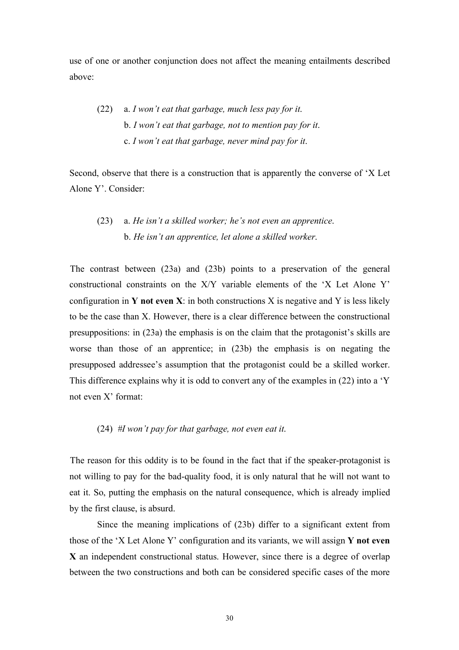use of one or another conjunction does not affect the meaning entailments described above:

(22) a. *I won't eat that garbage, much less pay for it*. b. *I won't eat that garbage, not to mention pay for it*. c. *I won't eat that garbage, never mind pay for it*.

Second, observe that there is a construction that is apparently the converse of 'X Let Alone Y'. Consider:

### (23) a. *He isn't a skilled worker; he's not even an apprentice*. b. *He isn't an apprentice, let alone a skilled worker*.

The contrast between (23a) and (23b) points to a preservation of the general constructional constraints on the X/Y variable elements of the 'X Let Alone Y' configuration in **Y not even X**: in both constructions X is negative and Y is less likely to be the case than X. However, there is a clear difference between the constructional presuppositions: in (23a) the emphasis is on the claim that the protagonist's skills are worse than those of an apprentice; in (23b) the emphasis is on negating the presupposed addressee's assumption that the protagonist could be a skilled worker. This difference explains why it is odd to convert any of the examples in (22) into a 'Y not even X' format:

#### (24) *#I won't pay for that garbage, not even eat it*.

The reason for this oddity is to be found in the fact that if the speaker-protagonist is not willing to pay for the bad-quality food, it is only natural that he will not want to eat it. So, putting the emphasis on the natural consequence, which is already implied by the first clause, is absurd.

Since the meaning implications of (23b) differ to a significant extent from those of the 'X Let Alone Y' configuration and its variants, we will assign **Y not even X** an independent constructional status. However, since there is a degree of overlap between the two constructions and both can be considered specific cases of the more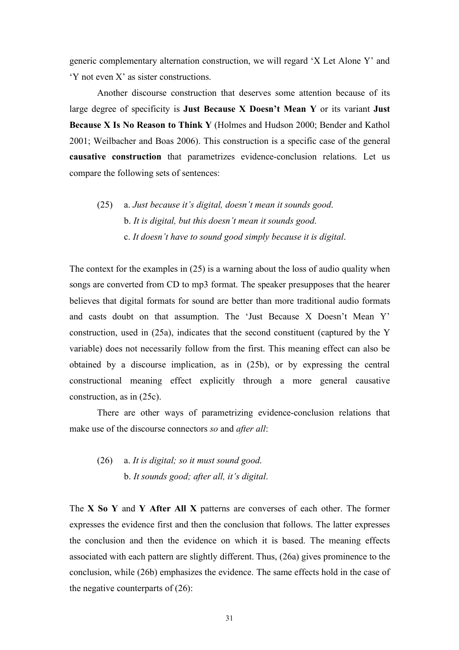generic complementary alternation construction, we will regard 'X Let Alone Y' and 'Y not even X' as sister constructions.

Another discourse construction that deserves some attention because of its large degree of specificity is **Just Because X Doesn't Mean Y** or its variant **Just Because X Is No Reason to Think Y** (Holmes and Hudson 2000; Bender and Kathol 2001; Weilbacher and Boas 2006). This construction is a specific case of the general **causative construction** that parametrizes evidence-conclusion relations. Let us compare the following sets of sentences:

## (25) a. *Just because it's digital, doesn't mean it sounds good*. b. *It is digital, but this doesn't mean it sounds good*. c. *It doesn't have to sound good simply because it is digital*.

The context for the examples in (25) is a warning about the loss of audio quality when songs are converted from CD to mp3 format. The speaker presupposes that the hearer believes that digital formats for sound are better than more traditional audio formats and casts doubt on that assumption. The 'Just Because X Doesn't Mean Y' construction, used in (25a), indicates that the second constituent (captured by the Y variable) does not necessarily follow from the first. This meaning effect can also be obtained by a discourse implication, as in (25b), or by expressing the central constructional meaning effect explicitly through a more general causative construction, as in (25c).

There are other ways of parametrizing evidence-conclusion relations that make use of the discourse connectors *so* and *after all*:

(26) a. *It is digital; so it must sound good*. b. *It sounds good; after all, it's digital*.

The **X So Y** and **Y After All X** patterns are converses of each other. The former expresses the evidence first and then the conclusion that follows. The latter expresses the conclusion and then the evidence on which it is based. The meaning effects associated with each pattern are slightly different. Thus, (26a) gives prominence to the conclusion, while (26b) emphasizes the evidence. The same effects hold in the case of the negative counterparts of  $(26)$ :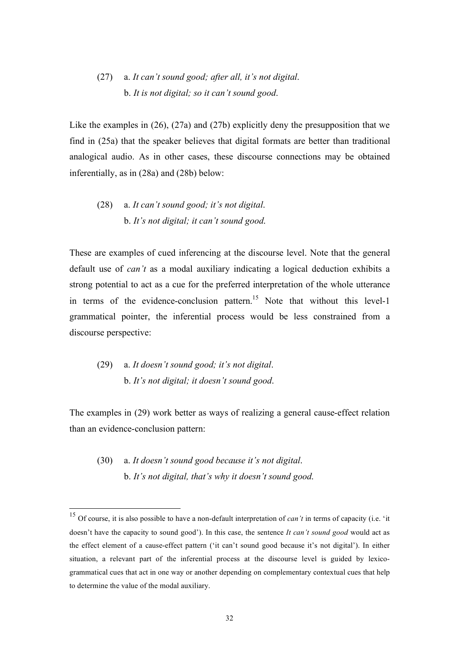## (27) a. *It can't sound good; after all, it's not digital*. b. *It is not digital; so it can't sound good*.

Like the examples in (26), (27a) and (27b) explicitly deny the presupposition that we find in (25a) that the speaker believes that digital formats are better than traditional analogical audio. As in other cases, these discourse connections may be obtained inferentially, as in (28a) and (28b) below:

## (28) a. *It can't sound good; it's not digital*. b. *It's not digital; it can't sound good*.

These are examples of cued inferencing at the discourse level. Note that the general default use of *can't* as a modal auxiliary indicating a logical deduction exhibits a strong potential to act as a cue for the preferred interpretation of the whole utterance in terms of the evidence-conclusion pattern.<sup>15</sup> Note that without this level-1 grammatical pointer, the inferential process would be less constrained from a discourse perspective:

(29) a. *It doesn't sound good; it's not digital*. b. *It's not digital; it doesn't sound good*.

The examples in (29) work better as ways of realizing a general cause-effect relation than an evidence-conclusion pattern:

(30) a. *It doesn't sound good because it's not digital*. b. *It's not digital, that's why it doesn't sound good*.

 <sup>15</sup> Of course, it is also possible to have a non-default interpretation of *can't* in terms of capacity (i.e. 'it doesn't have the capacity to sound good'). In this case, the sentence *It can't sound good* would act as the effect element of a cause-effect pattern ('it can't sound good because it's not digital'). In either situation, a relevant part of the inferential process at the discourse level is guided by lexicogrammatical cues that act in one way or another depending on complementary contextual cues that help to determine the value of the modal auxiliary.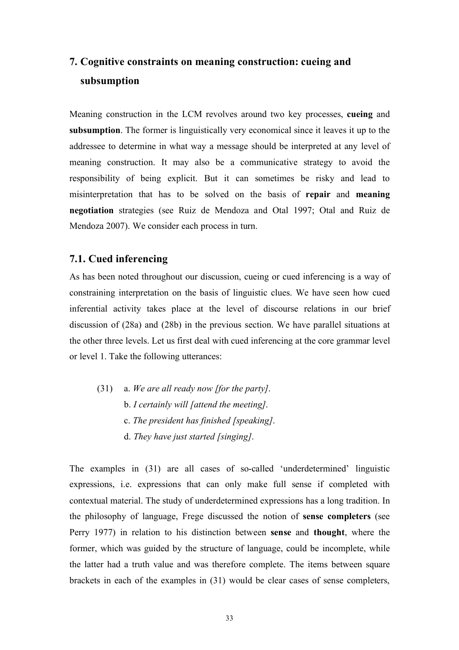## **7. Cognitive constraints on meaning construction: cueing and subsumption**

Meaning construction in the LCM revolves around two key processes, **cueing** and **subsumption**. The former is linguistically very economical since it leaves it up to the addressee to determine in what way a message should be interpreted at any level of meaning construction. It may also be a communicative strategy to avoid the responsibility of being explicit. But it can sometimes be risky and lead to misinterpretation that has to be solved on the basis of **repair** and **meaning negotiation** strategies (see Ruiz de Mendoza and Otal 1997; Otal and Ruiz de Mendoza 2007). We consider each process in turn.

### **7.1. Cued inferencing**

As has been noted throughout our discussion, cueing or cued inferencing is a way of constraining interpretation on the basis of linguistic clues. We have seen how cued inferential activity takes place at the level of discourse relations in our brief discussion of (28a) and (28b) in the previous section. We have parallel situations at the other three levels. Let us first deal with cued inferencing at the core grammar level or level 1. Take the following utterances:

(31) a. *We are all ready now [for the party]*. b. *I certainly will [attend the meeting]*. c. *The president has finished [speaking]*. d. *They have just started [singing]*.

The examples in (31) are all cases of so-called 'underdetermined' linguistic expressions, i.e. expressions that can only make full sense if completed with contextual material. The study of underdetermined expressions has a long tradition. In the philosophy of language, Frege discussed the notion of **sense completers** (see Perry 1977) in relation to his distinction between **sense** and **thought**, where the former, which was guided by the structure of language, could be incomplete, while the latter had a truth value and was therefore complete. The items between square brackets in each of the examples in (31) would be clear cases of sense completers,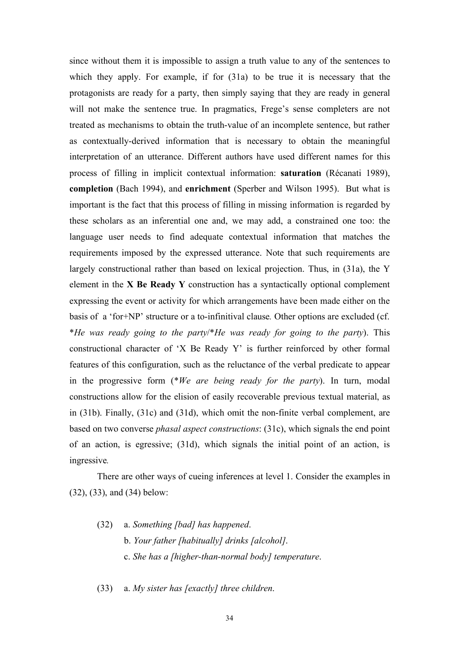since without them it is impossible to assign a truth value to any of the sentences to which they apply. For example, if for  $(31a)$  to be true it is necessary that the protagonists are ready for a party, then simply saying that they are ready in general will not make the sentence true. In pragmatics, Frege's sense completers are not treated as mechanisms to obtain the truth-value of an incomplete sentence, but rather as contextually-derived information that is necessary to obtain the meaningful interpretation of an utterance. Different authors have used different names for this process of filling in implicit contextual information: **saturation** (Récanati 1989), **completion** (Bach 1994), and **enrichment** (Sperber and Wilson 1995). But what is important is the fact that this process of filling in missing information is regarded by these scholars as an inferential one and, we may add, a constrained one too: the language user needs to find adequate contextual information that matches the requirements imposed by the expressed utterance. Note that such requirements are largely constructional rather than based on lexical projection. Thus, in (31a), the Y element in the **X Be Ready Y** construction has a syntactically optional complement expressing the event or activity for which arrangements have been made either on the basis of a 'for+NP' structure or a to-infinitival clause*.* Other options are excluded (cf. \**He was ready going to the party*/\**He was ready for going to the party*). This constructional character of 'X Be Ready Y' is further reinforced by other formal features of this configuration, such as the reluctance of the verbal predicate to appear in the progressive form (\**We are being ready for the party*). In turn, modal constructions allow for the elision of easily recoverable previous textual material, as in (31b). Finally, (31c) and (31d), which omit the non-finite verbal complement, are based on two converse *phasal aspect constructions*: (31c), which signals the end point of an action, is egressive; (31d), which signals the initial point of an action, is ingressive*.* 

There are other ways of cueing inferences at level 1. Consider the examples in (32), (33), and (34) below:

(32) a. *Something [bad] has happened*. b. *Your father [habitually] drinks [alcohol]*. c. *She has a [higher-than-normal body] temperature*.

(33) a. *My sister has [exactly] three children*.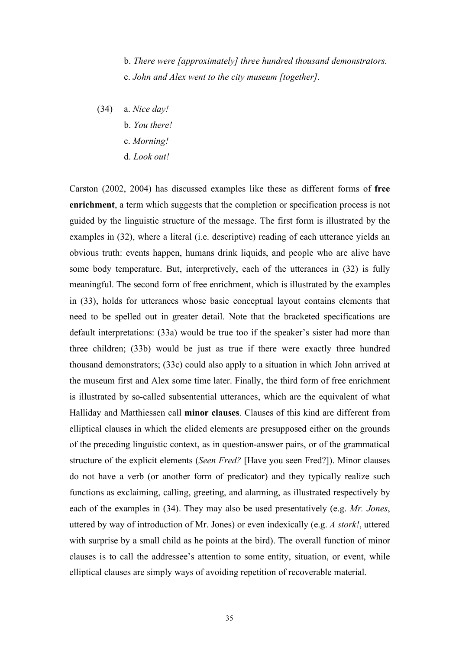b. *There were [approximately] three hundred thousand demonstrators*. c. *John and Alex went to the city museum [together]*.

(34) a. *Nice day!* b. *You there!* c. *Morning!* d. *Look out!*

Carston (2002, 2004) has discussed examples like these as different forms of **free enrichment**, a term which suggests that the completion or specification process is not guided by the linguistic structure of the message. The first form is illustrated by the examples in (32), where a literal (i.e. descriptive) reading of each utterance yields an obvious truth: events happen, humans drink liquids, and people who are alive have some body temperature. But, interpretively, each of the utterances in (32) is fully meaningful. The second form of free enrichment, which is illustrated by the examples in (33), holds for utterances whose basic conceptual layout contains elements that need to be spelled out in greater detail. Note that the bracketed specifications are default interpretations: (33a) would be true too if the speaker's sister had more than three children; (33b) would be just as true if there were exactly three hundred thousand demonstrators; (33c) could also apply to a situation in which John arrived at the museum first and Alex some time later. Finally, the third form of free enrichment is illustrated by so-called subsentential utterances, which are the equivalent of what Halliday and Matthiessen call **minor clauses**. Clauses of this kind are different from elliptical clauses in which the elided elements are presupposed either on the grounds of the preceding linguistic context, as in question-answer pairs, or of the grammatical structure of the explicit elements (*Seen Fred?* [Have you seen Fred?]). Minor clauses do not have a verb (or another form of predicator) and they typically realize such functions as exclaiming, calling, greeting, and alarming, as illustrated respectively by each of the examples in (34). They may also be used presentatively (e.g. *Mr. Jones*, uttered by way of introduction of Mr. Jones) or even indexically (e.g. *A stork!*, uttered with surprise by a small child as he points at the bird). The overall function of minor clauses is to call the addressee's attention to some entity, situation, or event, while elliptical clauses are simply ways of avoiding repetition of recoverable material.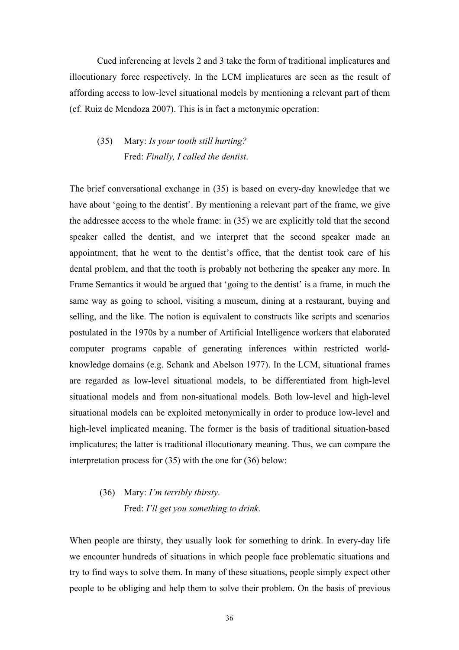Cued inferencing at levels 2 and 3 take the form of traditional implicatures and illocutionary force respectively. In the LCM implicatures are seen as the result of affording access to low-level situational models by mentioning a relevant part of them (cf. Ruiz de Mendoza 2007). This is in fact a metonymic operation:

### (35) Mary: *Is your tooth still hurting?* Fred: *Finally, I called the dentist*.

The brief conversational exchange in (35) is based on every-day knowledge that we have about 'going to the dentist'. By mentioning a relevant part of the frame, we give the addressee access to the whole frame: in (35) we are explicitly told that the second speaker called the dentist, and we interpret that the second speaker made an appointment, that he went to the dentist's office, that the dentist took care of his dental problem, and that the tooth is probably not bothering the speaker any more. In Frame Semantics it would be argued that 'going to the dentist' is a frame, in much the same way as going to school, visiting a museum, dining at a restaurant, buying and selling, and the like. The notion is equivalent to constructs like scripts and scenarios postulated in the 1970s by a number of Artificial Intelligence workers that elaborated computer programs capable of generating inferences within restricted worldknowledge domains (e.g. Schank and Abelson 1977). In the LCM, situational frames are regarded as low-level situational models, to be differentiated from high-level situational models and from non-situational models. Both low-level and high-level situational models can be exploited metonymically in order to produce low-level and high-level implicated meaning. The former is the basis of traditional situation-based implicatures; the latter is traditional illocutionary meaning. Thus, we can compare the interpretation process for (35) with the one for (36) below:

## (36) Mary: *I'm terribly thirsty*. Fred: *I'll get you something to drink*.

When people are thirsty, they usually look for something to drink. In every-day life we encounter hundreds of situations in which people face problematic situations and try to find ways to solve them. In many of these situations, people simply expect other people to be obliging and help them to solve their problem. On the basis of previous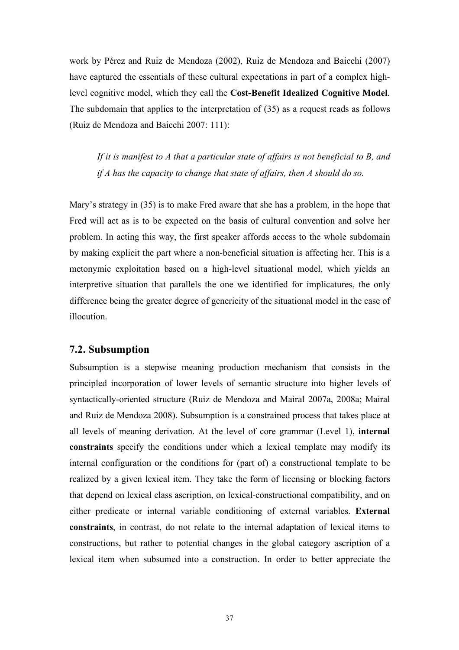work by Pérez and Ruiz de Mendoza (2002), Ruiz de Mendoza and Baicchi (2007) have captured the essentials of these cultural expectations in part of a complex highlevel cognitive model, which they call the **Cost-Benefit Idealized Cognitive Model**. The subdomain that applies to the interpretation of (35) as a request reads as follows (Ruiz de Mendoza and Baicchi 2007: 111):

*If it is manifest to A that a particular state of affairs is not beneficial to B, and if A has the capacity to change that state of affairs, then A should do so.*

Mary's strategy in (35) is to make Fred aware that she has a problem, in the hope that Fred will act as is to be expected on the basis of cultural convention and solve her problem. In acting this way, the first speaker affords access to the whole subdomain by making explicit the part where a non-beneficial situation is affecting her. This is a metonymic exploitation based on a high-level situational model, which yields an interpretive situation that parallels the one we identified for implicatures, the only difference being the greater degree of genericity of the situational model in the case of illocution.

#### **7.2. Subsumption**

Subsumption is a stepwise meaning production mechanism that consists in the principled incorporation of lower levels of semantic structure into higher levels of syntactically-oriented structure (Ruiz de Mendoza and Mairal 2007a, 2008a; Mairal and Ruiz de Mendoza 2008). Subsumption is a constrained process that takes place at all levels of meaning derivation. At the level of core grammar (Level 1), **internal constraints** specify the conditions under which a lexical template may modify its internal configuration or the conditions for (part of) a constructional template to be realized by a given lexical item. They take the form of licensing or blocking factors that depend on lexical class ascription, on lexical-constructional compatibility, and on either predicate or internal variable conditioning of external variables. **External constraints**, in contrast, do not relate to the internal adaptation of lexical items to constructions, but rather to potential changes in the global category ascription of a lexical item when subsumed into a construction. In order to better appreciate the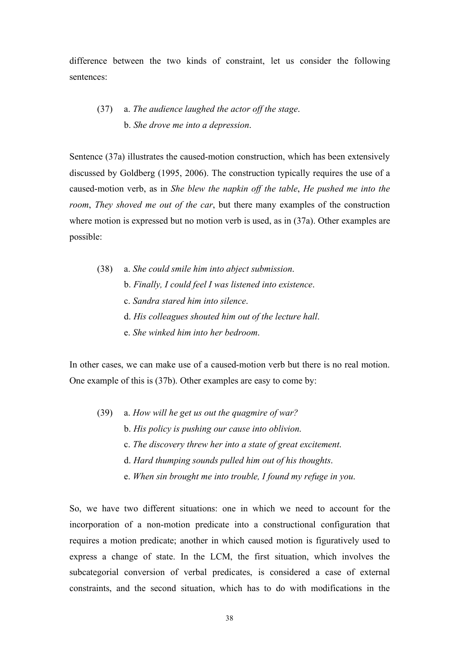difference between the two kinds of constraint, let us consider the following sentences:

### (37) a. *The audience laughed the actor off the stage*. b. *She drove me into a depression*.

Sentence (37a) illustrates the caused-motion construction, which has been extensively discussed by Goldberg (1995, 2006). The construction typically requires the use of a caused-motion verb, as in *She blew the napkin off the table*, *He pushed me into the room*, *They shoved me out of the car*, but there many examples of the construction where motion is expressed but no motion verb is used, as in (37a). Other examples are possible:

(38) a. *She could smile him into abject submission*. b. *Finally, I could feel I was listened into existence*. c. *Sandra stared him into silence*. d. *His colleagues shouted him out of the lecture hall*. e. *She winked him into her bedroom*.

In other cases, we can make use of a caused-motion verb but there is no real motion. One example of this is (37b). Other examples are easy to come by:

- (39) a. *How will he get us out the quagmire of war?*
	- b. *His policy is pushing our cause into oblivion*.
	- c. *The discovery threw her into a state of great excitement*.
	- d. *Hard thumping sounds pulled him out of his thoughts*.
	- e. *When sin brought me into trouble, I found my refuge in you*.

So, we have two different situations: one in which we need to account for the incorporation of a non-motion predicate into a constructional configuration that requires a motion predicate; another in which caused motion is figuratively used to express a change of state. In the LCM, the first situation, which involves the subcategorial conversion of verbal predicates, is considered a case of external constraints, and the second situation, which has to do with modifications in the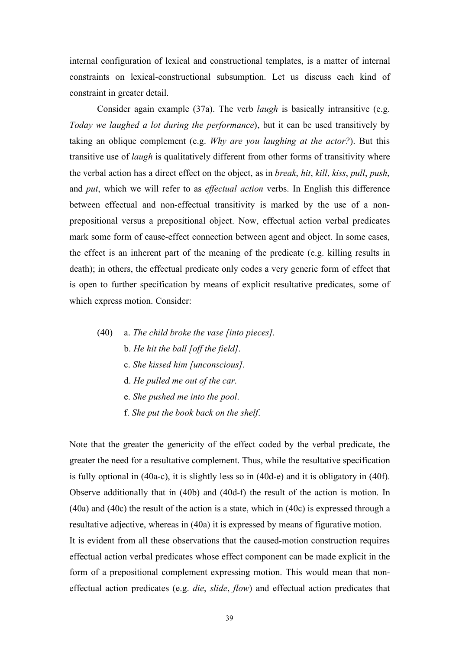internal configuration of lexical and constructional templates, is a matter of internal constraints on lexical-constructional subsumption. Let us discuss each kind of constraint in greater detail.

Consider again example (37a). The verb *laugh* is basically intransitive (e.g. *Today we laughed a lot during the performance*), but it can be used transitively by taking an oblique complement (e.g. *Why are you laughing at the actor?*). But this transitive use of *laugh* is qualitatively different from other forms of transitivity where the verbal action has a direct effect on the object, as in *break*, *hit*, *kill*, *kiss*, *pull*, *push*, and *put*, which we will refer to as *effectual action* verbs. In English this difference between effectual and non-effectual transitivity is marked by the use of a nonprepositional versus a prepositional object. Now, effectual action verbal predicates mark some form of cause-effect connection between agent and object. In some cases, the effect is an inherent part of the meaning of the predicate (e.g. killing results in death); in others, the effectual predicate only codes a very generic form of effect that is open to further specification by means of explicit resultative predicates, some of which express motion. Consider:

- (40) a. *The child broke the vase [into pieces]*.
	- b. *He hit the ball [off the field]*.
	- c. *She kissed him [unconscious]*.
	- d. *He pulled me out of the car*.
	- e. *She pushed me into the pool*.
	- f. *She put the book back on the shelf*.

Note that the greater the genericity of the effect coded by the verbal predicate, the greater the need for a resultative complement. Thus, while the resultative specification is fully optional in (40a-c), it is slightly less so in (40d-e) and it is obligatory in (40f). Observe additionally that in (40b) and (40d-f) the result of the action is motion. In (40a) and (40c) the result of the action is a state, which in (40c) is expressed through a resultative adjective, whereas in (40a) it is expressed by means of figurative motion. It is evident from all these observations that the caused-motion construction requires effectual action verbal predicates whose effect component can be made explicit in the form of a prepositional complement expressing motion. This would mean that noneffectual action predicates (e.g. *die*, *slide*, *flow*) and effectual action predicates that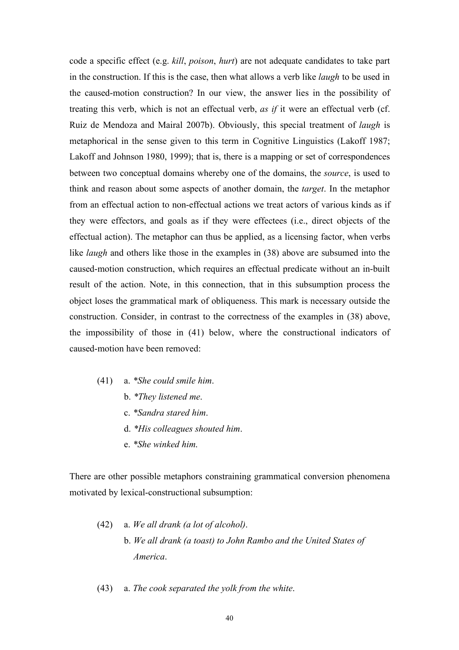code a specific effect (e.g. *kill*, *poison*, *hurt*) are not adequate candidates to take part in the construction. If this is the case, then what allows a verb like *laugh* to be used in the caused-motion construction? In our view, the answer lies in the possibility of treating this verb, which is not an effectual verb, *as if* it were an effectual verb (cf. Ruiz de Mendoza and Mairal 2007b). Obviously, this special treatment of *laugh* is metaphorical in the sense given to this term in Cognitive Linguistics (Lakoff 1987; Lakoff and Johnson 1980, 1999); that is, there is a mapping or set of correspondences between two conceptual domains whereby one of the domains, the *source*, is used to think and reason about some aspects of another domain, the *target*. In the metaphor from an effectual action to non-effectual actions we treat actors of various kinds as if they were effectors, and goals as if they were effectees (i.e., direct objects of the effectual action). The metaphor can thus be applied, as a licensing factor, when verbs like *laugh* and others like those in the examples in (38) above are subsumed into the caused-motion construction, which requires an effectual predicate without an in-built result of the action. Note, in this connection, that in this subsumption process the object loses the grammatical mark of obliqueness. This mark is necessary outside the construction. Consider, in contrast to the correctness of the examples in (38) above, the impossibility of those in (41) below, where the constructional indicators of caused-motion have been removed:

- (41) a. *\*She could smile him*.
	- b. *\*They listened me*.
	- c. *\*Sandra stared him*.
	- d. *\*His colleagues shouted him*.
	- e. *\*She winked him*.

There are other possible metaphors constraining grammatical conversion phenomena motivated by lexical-constructional subsumption:

- (42) a. *We all drank (a lot of alcohol)*. b. *We all drank (a toast) to John Rambo and the United States of America*.
- (43) a. *The cook separated the yolk from the white*.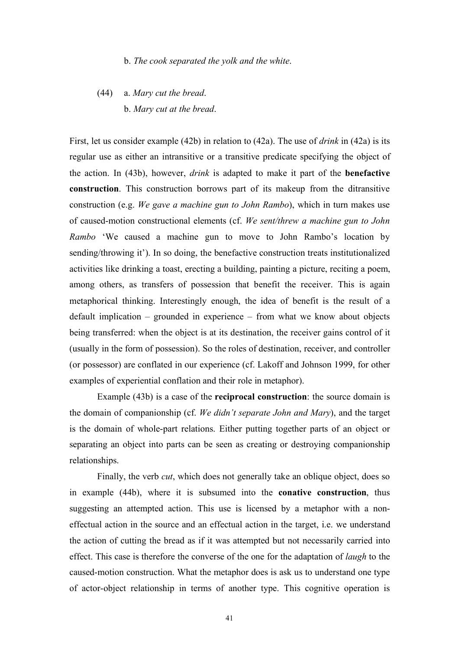#### b. *The cook separated the yolk and the white*.

## (44) a. *Mary cut the bread*. b. *Mary cut at the bread*.

First, let us consider example (42b) in relation to (42a). The use of *drink* in (42a) is its regular use as either an intransitive or a transitive predicate specifying the object of the action. In (43b), however, *drink* is adapted to make it part of the **benefactive construction**. This construction borrows part of its makeup from the ditransitive construction (e.g. *We gave a machine gun to John Rambo*), which in turn makes use of caused-motion constructional elements (cf. *We sent/threw a machine gun to John Rambo* 'We caused a machine gun to move to John Rambo's location by sending/throwing it'). In so doing, the benefactive construction treats institutionalized activities like drinking a toast, erecting a building, painting a picture, reciting a poem, among others, as transfers of possession that benefit the receiver. This is again metaphorical thinking. Interestingly enough, the idea of benefit is the result of a default implication – grounded in experience – from what we know about objects being transferred: when the object is at its destination, the receiver gains control of it (usually in the form of possession). So the roles of destination, receiver, and controller (or possessor) are conflated in our experience (cf. Lakoff and Johnson 1999, for other examples of experiential conflation and their role in metaphor).

Example (43b) is a case of the **reciprocal construction**: the source domain is the domain of companionship (cf. *We didn't separate John and Mary*), and the target is the domain of whole-part relations. Either putting together parts of an object or separating an object into parts can be seen as creating or destroying companionship relationships.

Finally, the verb *cut*, which does not generally take an oblique object, does so in example (44b), where it is subsumed into the **conative construction**, thus suggesting an attempted action. This use is licensed by a metaphor with a noneffectual action in the source and an effectual action in the target, i.e. we understand the action of cutting the bread as if it was attempted but not necessarily carried into effect. This case is therefore the converse of the one for the adaptation of *laugh* to the caused-motion construction. What the metaphor does is ask us to understand one type of actor-object relationship in terms of another type. This cognitive operation is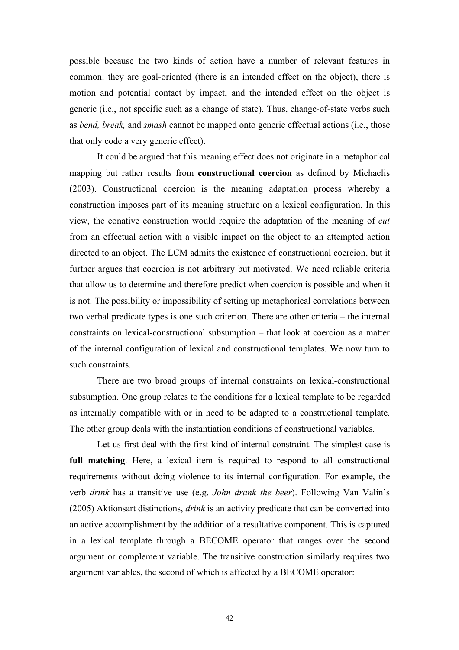possible because the two kinds of action have a number of relevant features in common: they are goal-oriented (there is an intended effect on the object), there is motion and potential contact by impact, and the intended effect on the object is generic (i.e., not specific such as a change of state). Thus, change-of-state verbs such as *bend, break,* and *smash* cannot be mapped onto generic effectual actions (i.e., those that only code a very generic effect).

It could be argued that this meaning effect does not originate in a metaphorical mapping but rather results from **constructional coercion** as defined by Michaelis (2003). Constructional coercion is the meaning adaptation process whereby a construction imposes part of its meaning structure on a lexical configuration. In this view, the conative construction would require the adaptation of the meaning of *cut* from an effectual action with a visible impact on the object to an attempted action directed to an object. The LCM admits the existence of constructional coercion, but it further argues that coercion is not arbitrary but motivated. We need reliable criteria that allow us to determine and therefore predict when coercion is possible and when it is not. The possibility or impossibility of setting up metaphorical correlations between two verbal predicate types is one such criterion. There are other criteria – the internal constraints on lexical-constructional subsumption – that look at coercion as a matter of the internal configuration of lexical and constructional templates. We now turn to such constraints.

There are two broad groups of internal constraints on lexical-constructional subsumption. One group relates to the conditions for a lexical template to be regarded as internally compatible with or in need to be adapted to a constructional template. The other group deals with the instantiation conditions of constructional variables.

Let us first deal with the first kind of internal constraint. The simplest case is **full matching**. Here, a lexical item is required to respond to all constructional requirements without doing violence to its internal configuration. For example, the verb *drink* has a transitive use (e.g. *John drank the beer*). Following Van Valin's (2005) Aktionsart distinctions, *drink* is an activity predicate that can be converted into an active accomplishment by the addition of a resultative component. This is captured in a lexical template through a BECOME operator that ranges over the second argument or complement variable. The transitive construction similarly requires two argument variables, the second of which is affected by a BECOME operator: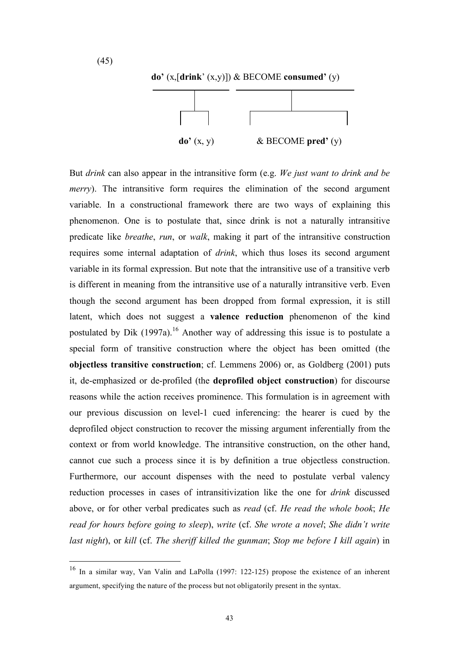

**do'** (x,[**drink**' (x,y)]) & BECOME **consumed'** (y)



But *drink* can also appear in the intransitive form (e.g. *We just want to drink and be merry*). The intransitive form requires the elimination of the second argument variable. In a constructional framework there are two ways of explaining this phenomenon. One is to postulate that, since drink is not a naturally intransitive predicate like *breathe*, *run*, or *walk*, making it part of the intransitive construction requires some internal adaptation of *drink*, which thus loses its second argument variable in its formal expression. But note that the intransitive use of a transitive verb is different in meaning from the intransitive use of a naturally intransitive verb. Even though the second argument has been dropped from formal expression, it is still latent, which does not suggest a **valence reduction** phenomenon of the kind postulated by Dik (1997a).<sup>16</sup> Another way of addressing this issue is to postulate a special form of transitive construction where the object has been omitted (the **objectless transitive construction**; cf. Lemmens 2006) or, as Goldberg (2001) puts it, de-emphasized or de-profiled (the **deprofiled object construction**) for discourse reasons while the action receives prominence. This formulation is in agreement with our previous discussion on level-1 cued inferencing: the hearer is cued by the deprofiled object construction to recover the missing argument inferentially from the context or from world knowledge. The intransitive construction, on the other hand, cannot cue such a process since it is by definition a true objectless construction. Furthermore, our account dispenses with the need to postulate verbal valency reduction processes in cases of intransitivization like the one for *drink* discussed above, or for other verbal predicates such as *read* (cf. *He read the whole book*; *He read for hours before going to sleep*), *write* (cf. *She wrote a novel*; *She didn't write last night*), or *kill* (cf. *The sheriff killed the gunman*; *Stop me before I kill again*) in

 <sup>16</sup> In a similar way, Van Valin and LaPolla (1997: 122-125) propose the existence of an inherent argument, specifying the nature of the process but not obligatorily present in the syntax.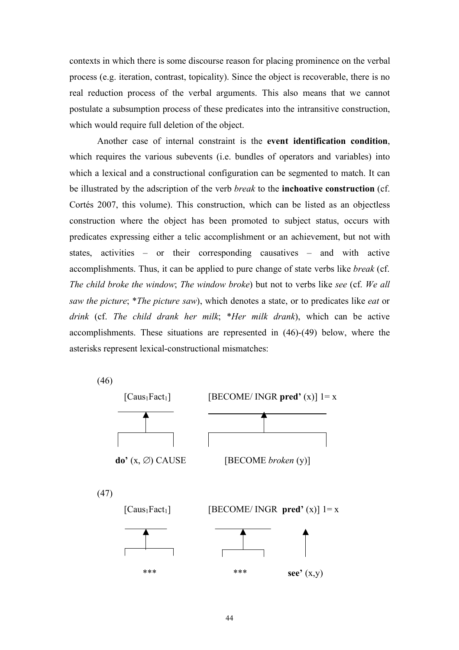contexts in which there is some discourse reason for placing prominence on the verbal process (e.g. iteration, contrast, topicality). Since the object is recoverable, there is no real reduction process of the verbal arguments. This also means that we cannot postulate a subsumption process of these predicates into the intransitive construction, which would require full deletion of the object.

Another case of internal constraint is the **event identification condition**, which requires the various subevents (i.e. bundles of operators and variables) into which a lexical and a constructional configuration can be segmented to match. It can be illustrated by the adscription of the verb *break* to the **inchoative construction** (cf. Cortés 2007, this volume). This construction, which can be listed as an objectless construction where the object has been promoted to subject status, occurs with predicates expressing either a telic accomplishment or an achievement, but not with states, activities – or their corresponding causatives – and with active accomplishments. Thus, it can be applied to pure change of state verbs like *break* (cf. *The child broke the window*; *The window broke*) but not to verbs like *see* (cf. *We all saw the picture*; \**The picture saw*), which denotes a state, or to predicates like *eat* or *drink* (cf. *The child drank her milk*; \**Her milk drank*), which can be active accomplishments. These situations are represented in (46)-(49) below, where the asterisks represent lexical-constructional mismatches:

(46)

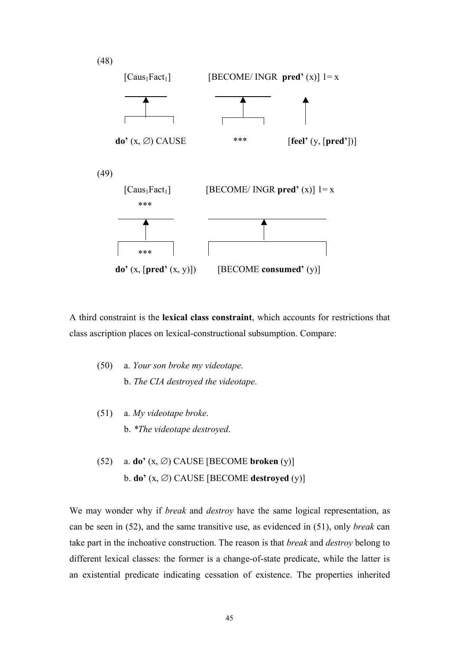

A third constraint is the **lexical class constraint**, which accounts for restrictions that class ascription places on lexical-constructional subsumption. Compare:

- (50) a. *Your son broke my videotape*. b. *The CIA destroyed the videotape*.
- (51) a. *My videotape broke*. b. *\*The videotape destroyed*.
- (52) a. **do'** (x, ∅) CAUSE [BECOME **broken** (y)] b. **do'** (x, ∅) CAUSE [BECOME **destroyed** (y)]

We may wonder why if *break* and *destroy* have the same logical representation, as can be seen in (52), and the same transitive use, as evidenced in (51), only *break* can take part in the inchoative construction. The reason is that *break* and *destroy* belong to different lexical classes: the former is a change-of-state predicate, while the latter is an existential predicate indicating cessation of existence. The properties inherited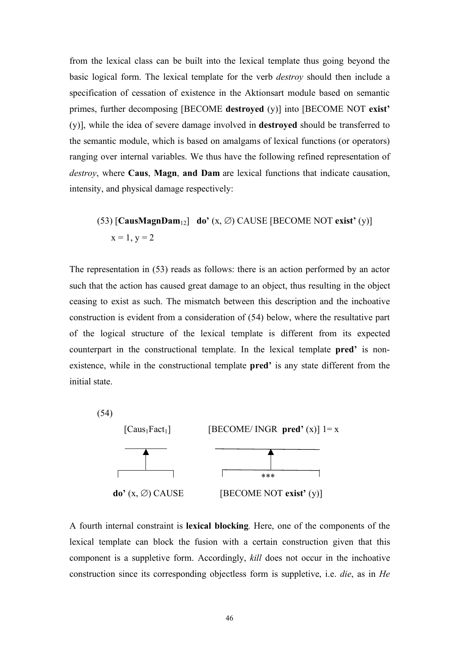from the lexical class can be built into the lexical template thus going beyond the basic logical form. The lexical template for the verb *destroy* should then include a specification of cessation of existence in the Aktionsart module based on semantic primes, further decomposing [BECOME **destroyed** (y)] into [BECOME NOT **exist'** (y)], while the idea of severe damage involved in **destroyed** should be transferred to the semantic module, which is based on amalgams of lexical functions (or operators) ranging over internal variables. We thus have the following refined representation of *destroy*, where **Caus**, **Magn**, **and Dam** are lexical functions that indicate causation, intensity, and physical damage respectively:

(53) 
$$
[CausMagnDam_{12}]
$$
 do' (x, Ø) CAUSE [BECOME NOT exist' (y)]  $x = 1, y = 2$ 

The representation in (53) reads as follows: there is an action performed by an actor such that the action has caused great damage to an object, thus resulting in the object ceasing to exist as such. The mismatch between this description and the inchoative construction is evident from a consideration of (54) below, where the resultative part of the logical structure of the lexical template is different from its expected counterpart in the constructional template. In the lexical template **pred'** is nonexistence, while in the constructional template **pred'** is any state different from the initial state.



A fourth internal constraint is **lexical blocking***.* Here, one of the components of the lexical template can block the fusion with a certain construction given that this component is a suppletive form. Accordingly, *kill* does not occur in the inchoative construction since its corresponding objectless form is suppletive, i.e. *die*, as in *He*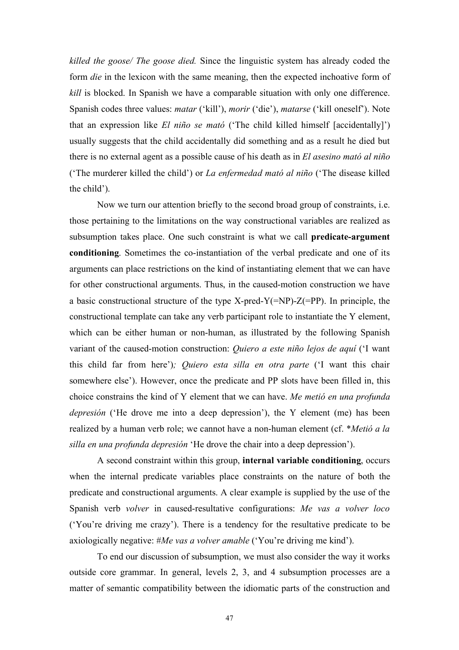*killed the goose/ The goose died.* Since the linguistic system has already coded the form *die* in the lexicon with the same meaning, then the expected inchoative form of *kill* is blocked. In Spanish we have a comparable situation with only one difference. Spanish codes three values: *matar* ('kill'), *morir* ('die'), *matarse* ('kill oneself'). Note that an expression like *El niño se mató* ('The child killed himself [accidentally]') usually suggests that the child accidentally did something and as a result he died but there is no external agent as a possible cause of his death as in *El asesino mató al niño* ('The murderer killed the child') or *La enfermedad mató al niño* ('The disease killed the child').

Now we turn our attention briefly to the second broad group of constraints, i.e. those pertaining to the limitations on the way constructional variables are realized as subsumption takes place. One such constraint is what we call **predicate-argument conditioning**. Sometimes the co-instantiation of the verbal predicate and one of its arguments can place restrictions on the kind of instantiating element that we can have for other constructional arguments. Thus, in the caused-motion construction we have a basic constructional structure of the type X-pred-Y(=NP)- $Z$ (=PP). In principle, the constructional template can take any verb participant role to instantiate the Y element, which can be either human or non-human, as illustrated by the following Spanish variant of the caused-motion construction: *Quiero a este niño lejos de aquí* ('I want this child far from here')*; Quiero esta silla en otra parte* ('I want this chair somewhere else'). However, once the predicate and PP slots have been filled in, this choice constrains the kind of Y element that we can have. *Me metió en una profunda depresión* ('He drove me into a deep depression'), the Y element (me) has been realized by a human verb role; we cannot have a non-human element (cf. \**Metió a la silla en una profunda depresión* 'He drove the chair into a deep depression').

A second constraint within this group, **internal variable conditioning**, occurs when the internal predicate variables place constraints on the nature of both the predicate and constructional arguments. A clear example is supplied by the use of the Spanish verb *volver* in caused-resultative configurations: *Me vas a volver loco*  ('You're driving me crazy'). There is a tendency for the resultative predicate to be axiologically negative: #*Me vas a volver amable* ('You're driving me kind').

To end our discussion of subsumption, we must also consider the way it works outside core grammar. In general, levels 2, 3, and 4 subsumption processes are a matter of semantic compatibility between the idiomatic parts of the construction and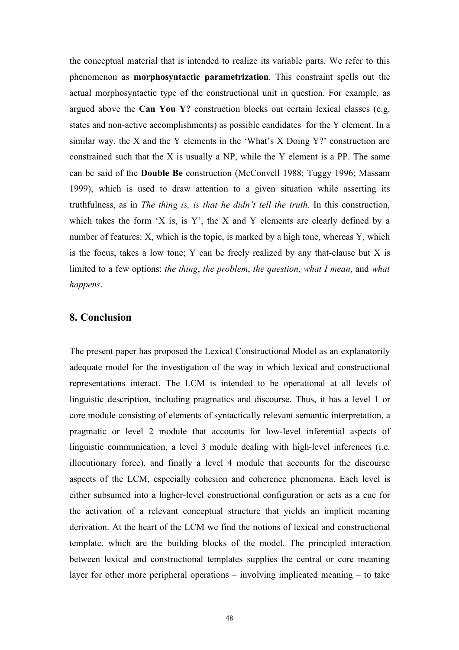the conceptual material that is intended to realize its variable parts. We refer to this phenomenon as **morphosyntactic parametrization**. This constraint spells out the actual morphosyntactic type of the constructional unit in question. For example, as argued above the **Can You Y?** construction blocks out certain lexical classes (e.g. states and non-active accomplishments) as possible candidates for the Y element. In a similar way, the X and the Y elements in the 'What's X Doing  $Y$ ?' construction are constrained such that the X is usually a NP, while the Y element is a PP. The same can be said of the **Double Be** construction (McConvell 1988; Tuggy 1996; Massam 1999), which is used to draw attention to a given situation while asserting its truthfulness, as in *The thing is, is that he didn't tell the truth*. In this construction, which takes the form 'X is, is Y', the X and Y elements are clearly defined by a number of features: X, which is the topic, is marked by a high tone, whereas Y, which is the focus, takes a low tone; Y can be freely realized by any that-clause but X is limited to a few options: *the thing*, *the problem*, *the question*, *what I mean*, and *what happens*.

### **8. Conclusion**

The present paper has proposed the Lexical Constructional Model as an explanatorily adequate model for the investigation of the way in which lexical and constructional representations interact. The LCM is intended to be operational at all levels of linguistic description, including pragmatics and discourse. Thus, it has a level 1 or core module consisting of elements of syntactically relevant semantic interpretation, a pragmatic or level 2 module that accounts for low-level inferential aspects of linguistic communication, a level 3 module dealing with high-level inferences (i.e. illocutionary force), and finally a level 4 module that accounts for the discourse aspects of the LCM, especially cohesion and coherence phenomena. Each level is either subsumed into a higher-level constructional configuration or acts as a cue for the activation of a relevant conceptual structure that yields an implicit meaning derivation. At the heart of the LCM we find the notions of lexical and constructional template, which are the building blocks of the model. The principled interaction between lexical and constructional templates supplies the central or core meaning layer for other more peripheral operations – involving implicated meaning – to take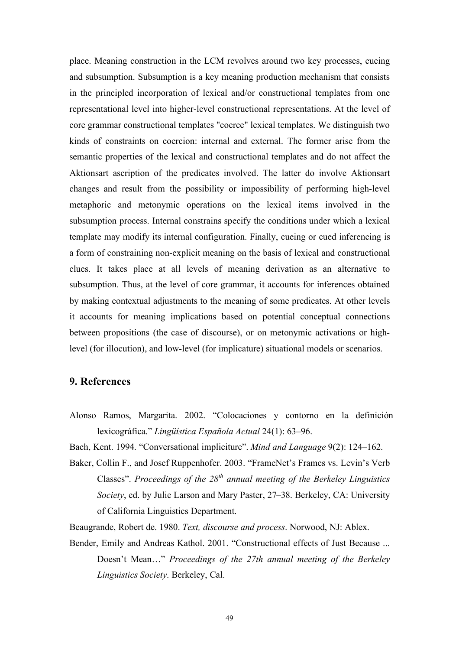place. Meaning construction in the LCM revolves around two key processes, cueing and subsumption. Subsumption is a key meaning production mechanism that consists in the principled incorporation of lexical and/or constructional templates from one representational level into higher-level constructional representations. At the level of core grammar constructional templates "coerce" lexical templates. We distinguish two kinds of constraints on coercion: internal and external. The former arise from the semantic properties of the lexical and constructional templates and do not affect the Aktionsart ascription of the predicates involved. The latter do involve Aktionsart changes and result from the possibility or impossibility of performing high-level metaphoric and metonymic operations on the lexical items involved in the subsumption process. Internal constrains specify the conditions under which a lexical template may modify its internal configuration. Finally, cueing or cued inferencing is a form of constraining non-explicit meaning on the basis of lexical and constructional clues. It takes place at all levels of meaning derivation as an alternative to subsumption. Thus, at the level of core grammar, it accounts for inferences obtained by making contextual adjustments to the meaning of some predicates. At other levels it accounts for meaning implications based on potential conceptual connections between propositions (the case of discourse), or on metonymic activations or highlevel (for illocution), and low-level (for implicature) situational models or scenarios.

### **9. References**

Alonso Ramos, Margarita. 2002. "Colocaciones y contorno en la definición lexicográfica." *Lingüística Española Actual* 24(1): 63–96.

Bach, Kent. 1994. "Conversational impliciture". *Mind and Language* 9(2): 124–162.

Baker, Collin F., and Josef Ruppenhofer. 2003. "FrameNet's Frames vs. Levin's Verb Classes". *Proceedings of the 28<sup>th</sup> annual meeting of the Berkeley Linguistics Society*, ed. by Julie Larson and Mary Paster, 27–38. Berkeley, CA: University of California Linguistics Department.

Beaugrande, Robert de. 1980. *Text, discourse and process*. Norwood, NJ: Ablex.

Bender, Emily and Andreas Kathol. 2001. "Constructional effects of Just Because ... Doesn't Mean…" *Proceedings of the 27th annual meeting of the Berkeley Linguistics Society*. Berkeley, Cal.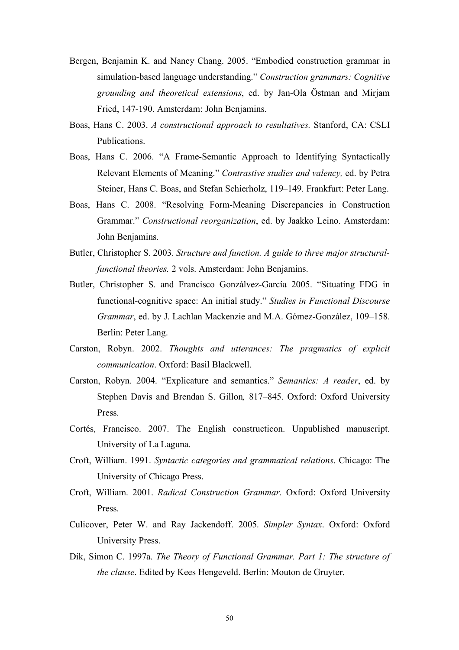- Bergen, Benjamin K. and Nancy Chang. 2005. "Embodied construction grammar in simulation-based language understanding." *Construction grammars: Cognitive grounding and theoretical extensions*, ed. by Jan-Ola Östman and Mirjam Fried, 147-190. Amsterdam: John Benjamins.
- Boas, Hans C. 2003. *A constructional approach to resultatives.* Stanford, CA: CSLI Publications.
- Boas, Hans C. 2006. "A Frame-Semantic Approach to Identifying Syntactically Relevant Elements of Meaning." *Contrastive studies and valency,* ed. by Petra Steiner, Hans C. Boas, and Stefan Schierholz, 119–149. Frankfurt: Peter Lang.
- Boas, Hans C. 2008. "Resolving Form-Meaning Discrepancies in Construction Grammar." *Constructional reorganization*, ed. by Jaakko Leino. Amsterdam: John Benjamins.
- Butler, Christopher S. 2003. *Structure and function. A guide to three major structuralfunctional theories.* 2 vols. Amsterdam: John Benjamins.
- Butler, Christopher S. and Francisco Gonzálvez-García 2005. "Situating FDG in functional-cognitive space: An initial study." *Studies in Functional Discourse Grammar*, ed. by J. Lachlan Mackenzie and M.A. Gómez-González, 109–158. Berlin: Peter Lang.
- Carston, Robyn. 2002. *Thoughts and utterances: The pragmatics of explicit communication*. Oxford: Basil Blackwell.
- Carston, Robyn. 2004. "Explicature and semantics." *Semantics: A reader*, ed. by Stephen Davis and Brendan S. Gillon*,* 817–845. Oxford: Oxford University Press.
- Cortés, Francisco. 2007. The English constructicon. Unpublished manuscript. University of La Laguna.
- Croft, William. 1991. *Syntactic categories and grammatical relations*. Chicago: The University of Chicago Press.
- Croft, William. 2001. *Radical Construction Grammar*. Oxford: Oxford University Press.
- Culicover, Peter W. and Ray Jackendoff. 2005. *Simpler Syntax*. Oxford: Oxford University Press.
- Dik, Simon C. 1997a. *The Theory of Functional Grammar. Part 1: The structure of the clause*. Edited by Kees Hengeveld. Berlin: Mouton de Gruyter.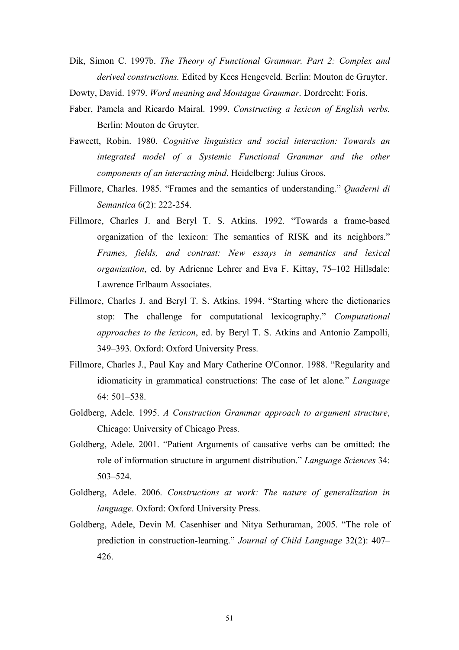- Dik, Simon C. 1997b. *The Theory of Functional Grammar. Part 2: Complex and derived constructions.* Edited by Kees Hengeveld. Berlin: Mouton de Gruyter.
- Dowty, David. 1979. *Word meaning and Montague Grammar*. Dordrecht: Foris.
- Faber, Pamela and Ricardo Mairal. 1999. *Constructing a lexicon of English verbs*. Berlin: Mouton de Gruyter.
- Fawcett, Robin. 1980. *Cognitive linguistics and social interaction: Towards an integrated model of a Systemic Functional Grammar and the other components of an interacting mind*. Heidelberg: Julius Groos.
- Fillmore, Charles. 1985. "Frames and the semantics of understanding." *Quaderni di Semantica* 6(2): 222-254.
- Fillmore, Charles J. and Beryl T. S. Atkins. 1992. "Towards a frame-based organization of the lexicon: The semantics of RISK and its neighbors." *Frames, fields, and contrast: New essays in semantics and lexical organization*, ed. by Adrienne Lehrer and Eva F. Kittay, 75–102 Hillsdale: Lawrence Erlbaum Associates.
- Fillmore, Charles J. and Beryl T. S. Atkins. 1994. "Starting where the dictionaries stop: The challenge for computational lexicography." *Computational approaches to the lexicon*, ed. by Beryl T. S. Atkins and Antonio Zampolli, 349–393. Oxford: Oxford University Press.
- Fillmore, Charles J., Paul Kay and Mary Catherine O'Connor. 1988. "Regularity and idiomaticity in grammatical constructions: The case of let alone." *Language*  $64.501 - 538$
- Goldberg, Adele. 1995. *A Construction Grammar approach to argument structure*, Chicago: University of Chicago Press.
- Goldberg, Adele. 2001. "Patient Arguments of causative verbs can be omitted: the role of information structure in argument distribution." *Language Sciences* 34: 503–524.
- Goldberg, Adele. 2006. *Constructions at work: The nature of generalization in language.* Oxford: Oxford University Press.
- Goldberg, Adele, Devin M. Casenhiser and Nitya Sethuraman, 2005. "The role of prediction in construction-learning." *Journal of Child Language* 32(2): 407– 426.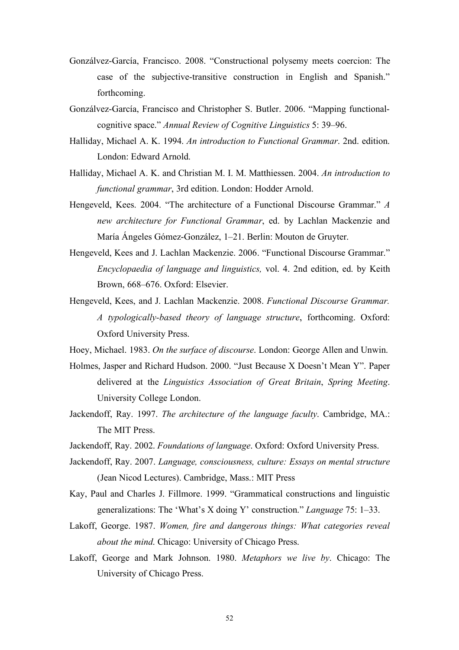- Gonzálvez-García, Francisco. 2008. "Constructional polysemy meets coercion: The case of the subjective-transitive construction in English and Spanish." forthcoming.
- Gonzálvez-García, Francisco and Christopher S. Butler. 2006. "Mapping functionalcognitive space." *Annual Review of Cognitive Linguistics* 5: 39–96.
- Halliday, Michael A. K. 1994. *An introduction to Functional Grammar*. 2nd. edition. London: Edward Arnold.
- Halliday, Michael A. K. and Christian M. I. M. Matthiessen. 2004. *An introduction to functional grammar*, 3rd edition. London: Hodder Arnold.
- Hengeveld, Kees. 2004. "The architecture of a Functional Discourse Grammar." *A new architecture for Functional Grammar*, ed. by Lachlan Mackenzie and María Ángeles Gómez-González, 1–21. Berlin: Mouton de Gruyter.
- Hengeveld, Kees and J. Lachlan Mackenzie. 2006. "Functional Discourse Grammar." *Encyclopaedia of language and linguistics,* vol. 4. 2nd edition, ed. by Keith Brown, 668–676. Oxford: Elsevier.
- Hengeveld, Kees, and J. Lachlan Mackenzie. 2008. *Functional Discourse Grammar. A typologically-based theory of language structure*, forthcoming. Oxford: Oxford University Press.
- Hoey, Michael. 1983. *On the surface of discourse*. London: George Allen and Unwin.
- Holmes, Jasper and Richard Hudson. 2000. "Just Because X Doesn't Mean Y". Paper delivered at the *Linguistics Association of Great Britain*, *Spring Meeting*. University College London.
- Jackendoff, Ray. 1997. *The architecture of the language faculty*. Cambridge, MA.: The MIT Press.
- Jackendoff, Ray. 2002. *Foundations of language*. Oxford: Oxford University Press.
- Jackendoff, Ray. 2007. *Language, consciousness, culture: Essays on mental structure* (Jean Nicod Lectures). Cambridge, Mass.: MIT Press
- Kay, Paul and Charles J. Fillmore. 1999. "Grammatical constructions and linguistic generalizations: The 'What's X doing Y' construction." *Language* 75: 1–33.
- Lakoff, George. 1987. *Women, fire and dangerous things: What categories reveal about the mind*. Chicago: University of Chicago Press.
- Lakoff, George and Mark Johnson. 1980. *Metaphors we live by*. Chicago: The University of Chicago Press.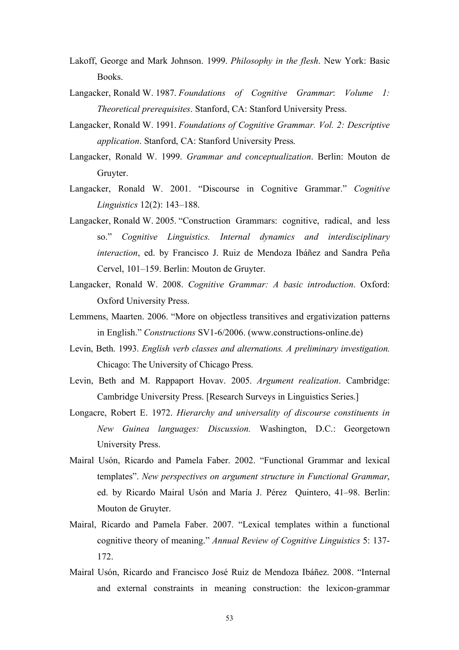- Lakoff, George and Mark Johnson. 1999. *Philosophy in the flesh*. New York: Basic Books.
- Langacker, Ronald W. 1987. *Foundations of Cognitive Grammar*: *Volume 1: Theoretical prerequisites*. Stanford, CA: Stanford University Press.
- Langacker, Ronald W. 1991. *Foundations of Cognitive Grammar. Vol. 2: Descriptive application*. Stanford, CA: Stanford University Press.
- Langacker, Ronald W. 1999. *Grammar and conceptualization*. Berlin: Mouton de Gruyter.
- Langacker, Ronald W. 2001. "Discourse in Cognitive Grammar." *Cognitive Linguistics* 12(2): 143–188.
- Langacker, Ronald W. 2005. "Construction Grammars: cognitive, radical, and less so." *Cognitive Linguistics. Internal dynamics and interdisciplinary interaction*, ed. by Francisco J. Ruiz de Mendoza Ibáñez and Sandra Peña Cervel, 101–159. Berlin: Mouton de Gruyter.
- Langacker, Ronald W. 2008. *Cognitive Grammar: A basic introduction*. Oxford: Oxford University Press.
- Lemmens, Maarten. 2006. "More on objectless transitives and ergativization patterns in English." *Constructions* SV1-6/2006. (www.constructions-online.de)
- Levin, Beth. 1993. *English verb classes and alternations. A preliminary investigation.* Chicago: The University of Chicago Press.
- Levin, Beth and M. Rappaport Hovav. 2005. *Argument realization*. Cambridge: Cambridge University Press. [Research Surveys in Linguistics Series.]
- Longacre, Robert E. 1972. *Hierarchy and universality of discourse constituents in New Guinea languages: Discussion.* Washington, D.C.: Georgetown University Press.
- Mairal Usón, Ricardo and Pamela Faber. 2002. "Functional Grammar and lexical templates". *New perspectives on argument structure in Functional Grammar*, ed. by Ricardo Mairal Usón and María J. Pérez Quintero, 41–98. Berlin: Mouton de Gruyter.
- Mairal, Ricardo and Pamela Faber. 2007. "Lexical templates within a functional cognitive theory of meaning." *Annual Review of Cognitive Linguistics* 5: 137- 172.
- Mairal Usón, Ricardo and Francisco José Ruiz de Mendoza Ibáñez. 2008. "Internal and external constraints in meaning construction: the lexicon-grammar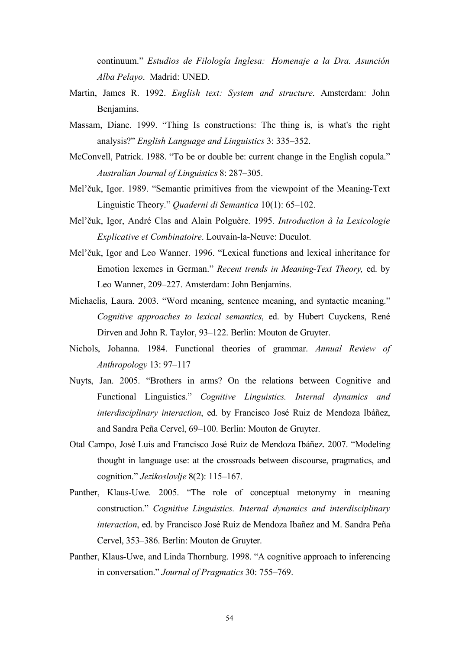continuum." *Estudios de Filología Inglesa: Homenaje a la Dra. Asunción Alba Pelayo*. Madrid: UNED.

- Martin, James R. 1992. *English text: System and structure*. Amsterdam: John Benjamins.
- Massam, Diane. 1999. "Thing Is constructions: The thing is, is what's the right analysis?" *English Language and Linguistics* 3: 335–352.
- McConvell, Patrick. 1988. "To be or double be: current change in the English copula." *Australian Journal of Linguistics* 8: 287–305.
- Mel'čuk, Igor. 1989. "Semantic primitives from the viewpoint of the Meaning-Text Linguistic Theory." *Quaderni di Semantica* 10(1): 65–102.
- Mel'čuk, Igor, André Clas and Alain Polguère. 1995. *Introduction à la Lexicologie Explicative et Combinatoire*. Louvain-la-Neuve: Duculot.
- Mel'čuk, Igor and Leo Wanner. 1996. "Lexical functions and lexical inheritance for Emotion lexemes in German." *Recent trends in Meaning-Text Theory,* ed. by Leo Wanner, 209–227. Amsterdam: John Benjamins.
- Michaelis, Laura. 2003. "Word meaning, sentence meaning, and syntactic meaning." *Cognitive approaches to lexical semantics*, ed. by Hubert Cuyckens, René Dirven and John R. Taylor, 93–122. Berlin: Mouton de Gruyter.
- Nichols, Johanna. 1984. Functional theories of grammar. *Annual Review of Anthropology* 13: 97–117
- Nuyts, Jan. 2005. "Brothers in arms? On the relations between Cognitive and Functional Linguistics." *Cognitive Linguistics. Internal dynamics and interdisciplinary interaction*, ed. by Francisco José Ruiz de Mendoza Ibáñez, and Sandra Peña Cervel, 69–100. Berlin: Mouton de Gruyter.
- Otal Campo, José Luis and Francisco José Ruiz de Mendoza Ibáñez. 2007. "Modeling thought in language use: at the crossroads between discourse, pragmatics, and cognition." *Jezikoslovlje* 8(2): 115–167.
- Panther, Klaus-Uwe. 2005. "The role of conceptual metonymy in meaning construction." *Cognitive Linguistics. Internal dynamics and interdisciplinary interaction*, ed. by Francisco José Ruiz de Mendoza Ibañez and M. Sandra Peña Cervel, 353–386. Berlin: Mouton de Gruyter.
- Panther, Klaus-Uwe, and Linda Thornburg. 1998. "A cognitive approach to inferencing in conversation." *Journal of Pragmatics* 30: 755–769.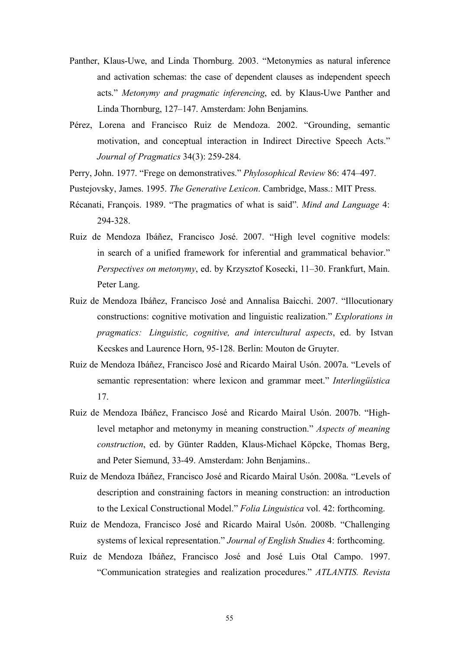- Panther, Klaus-Uwe, and Linda Thornburg. 2003. "Metonymies as natural inference and activation schemas: the case of dependent clauses as independent speech acts." *Metonymy and pragmatic inferencing*, ed. by Klaus-Uwe Panther and Linda Thornburg, 127–147. Amsterdam: John Benjamins.
- Pérez, Lorena and Francisco Ruiz de Mendoza. 2002. "Grounding, semantic motivation, and conceptual interaction in Indirect Directive Speech Acts." *Journal of Pragmatics* 34(3): 259-284.
- Perry, John. 1977. "Frege on demonstratives." *Phylosophical Review* 86: 474–497.
- Pustejovsky, James. 1995. *The Generative Lexicon*. Cambridge, Mass.: MIT Press.
- Récanati, François. 1989. "The pragmatics of what is said". *Mind and Language* 4: 294-328.
- Ruiz de Mendoza Ibáñez, Francisco José. 2007. "High level cognitive models: in search of a unified framework for inferential and grammatical behavior." *Perspectives on metonymy*, ed. by Krzysztof Kosecki, 11–30. Frankfurt, Main. Peter Lang.
- Ruiz de Mendoza Ibáñez, Francisco José and Annalisa Baicchi. 2007. "Illocutionary constructions: cognitive motivation and linguistic realization." *Explorations in pragmatics: Linguistic, cognitive, and intercultural aspects*, ed. by Istvan Kecskes and Laurence Horn, 95-128. Berlin: Mouton de Gruyter.
- Ruiz de Mendoza Ibáñez, Francisco José and Ricardo Mairal Usón. 2007a. "Levels of semantic representation: where lexicon and grammar meet." *Interlingüística* 17.
- Ruiz de Mendoza Ibáñez, Francisco José and Ricardo Mairal Usón. 2007b. "Highlevel metaphor and metonymy in meaning construction." *Aspects of meaning construction*, ed. by Günter Radden, Klaus-Michael Köpcke, Thomas Berg, and Peter Siemund, 33-49. Amsterdam: John Benjamins..
- Ruiz de Mendoza Ibáñez, Francisco José and Ricardo Mairal Usón. 2008a. "Levels of description and constraining factors in meaning construction: an introduction to the Lexical Constructional Model." *Folia Linguistica* vol. 42: forthcoming.
- Ruiz de Mendoza, Francisco José and Ricardo Mairal Usón. 2008b. "Challenging systems of lexical representation." *Journal of English Studies* 4: forthcoming.
- Ruiz de Mendoza Ibáñez, Francisco José and José Luis Otal Campo. 1997. "Communication strategies and realization procedures." *ATLANTIS. Revista*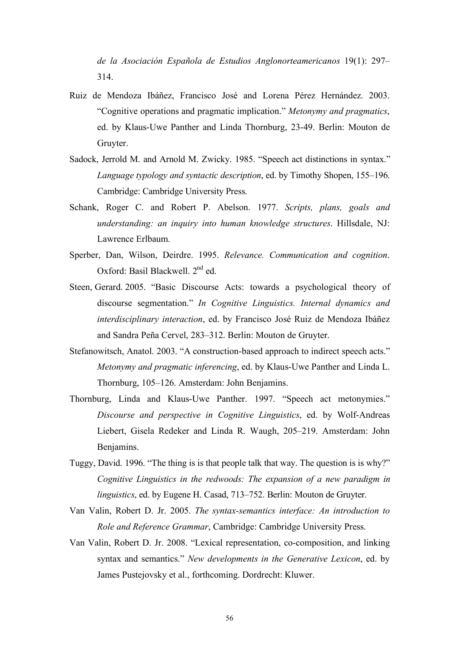*de la Asociación Española de Estudios Anglonorteamericanos* 19(1): 297– 314.

- Ruiz de Mendoza Ibáñez, Francisco José and Lorena Pérez Hernández. 2003. "Cognitive operations and pragmatic implication." *Metonymy and pragmatics*, ed. by Klaus-Uwe Panther and Linda Thornburg, 23-49. Berlin: Mouton de Gruyter.
- Sadock, Jerrold M. and Arnold M. Zwicky. 1985. "Speech act distinctions in syntax." *Language typology and syntactic description*, ed. by Timothy Shopen, 155–196. Cambridge: Cambridge University Press.
- Schank, Roger C. and Robert P. Abelson. 1977. *Scripts, plans, goals and understanding: an inquiry into human knowledge structures*. Hillsdale, NJ: Lawrence Erlbaum.
- Sperber, Dan, Wilson, Deirdre. 1995. *Relevance. Communication and cognition*. Oxford: Basil Blackwell. 2<sup>nd</sup> ed.
- Steen, Gerard. 2005. "Basic Discourse Acts: towards a psychological theory of discourse segmentation." *In Cognitive Linguistics. Internal dynamics and interdisciplinary interaction*, ed. by Francisco José Ruiz de Mendoza Ibáñez and Sandra Peña Cervel, 283–312. Berlin: Mouton de Gruyter.
- Stefanowitsch, Anatol. 2003. "A construction-based approach to indirect speech acts." *Metonymy and pragmatic inferencing*, ed. by Klaus-Uwe Panther and Linda L. Thornburg, 105–126. Amsterdam: John Benjamins.
- Thornburg, Linda and Klaus-Uwe Panther. 1997. "Speech act metonymies." *Discourse and perspective in Cognitive Linguistics*, ed. by Wolf-Andreas Liebert, Gisela Redeker and Linda R. Waugh, 205–219. Amsterdam: John Benjamins.
- Tuggy, David. 1996. "The thing is is that people talk that way. The question is is why?" *Cognitive Linguistics in the redwoods: The expansion of a new paradigm in linguistics*, ed. by Eugene H. Casad, 713–752. Berlin: Mouton de Gruyter.
- Van Valin, Robert D. Jr. 2005. *The syntax-semantics interface: An introduction to Role and Reference Grammar*, Cambridge: Cambridge University Press.
- Van Valin, Robert D. Jr. 2008. "Lexical representation, co-composition, and linking syntax and semantics." *New developments in the Generative Lexicon*, ed. by James Pustejovsky et al., forthcoming. Dordrecht: Kluwer.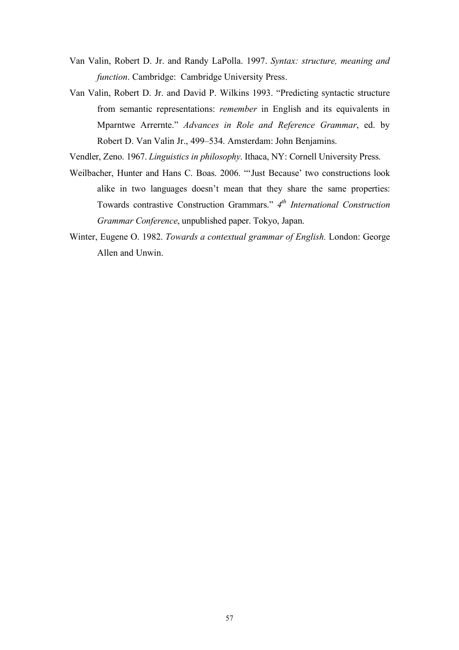- Van Valin, Robert D. Jr. and Randy LaPolla. 1997. *Syntax: structure, meaning and function*. Cambridge: Cambridge University Press.
- Van Valin, Robert D. Jr. and David P. Wilkins 1993. "Predicting syntactic structure from semantic representations: *remember* in English and its equivalents in Mparntwe Arrernte." *Advances in Role and Reference Grammar*, ed. by Robert D. Van Valin Jr., 499–534. Amsterdam: John Benjamins.

Vendler, Zeno. 1967. *Linguistics in philosophy*. Ithaca, NY: Cornell University Press.

- Weilbacher, Hunter and Hans C. Boas. 2006. "'Just Because' two constructions look alike in two languages doesn't mean that they share the same properties: Towards contrastive Construction Grammars." *4th International Construction Grammar Conference*, unpublished paper. Tokyo, Japan.
- Winter, Eugene O. 1982. *Towards a contextual grammar of English.* London: George Allen and Unwin.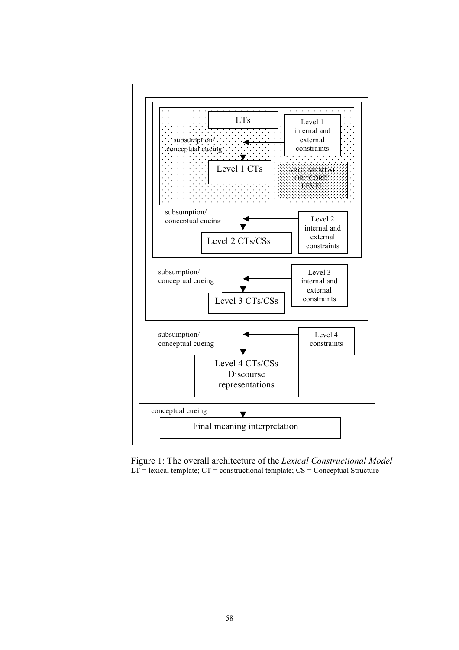

Figure 1: The overall architecture of the *Lexical Constructional Model*  $LT$  = lexical template;  $CT$  = constructional template;  $CS$  = Conceptual Structure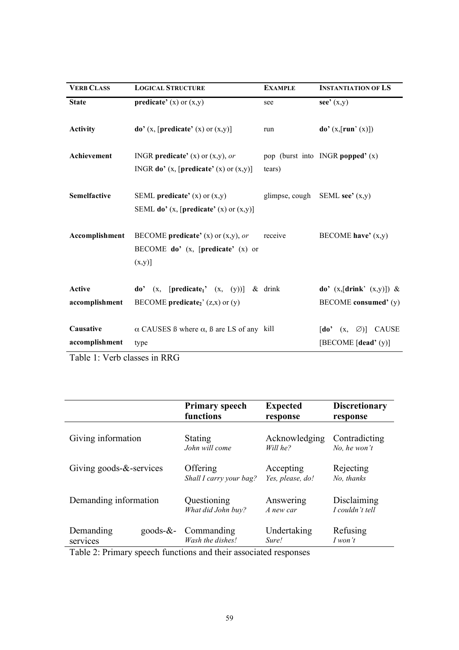| <b>VERB CLASS</b>               | <b>LOGICAL STRUCTURE</b>                                                                                 | <b>EXAMPLE</b> | <b>INSTANTIATION OF LS</b>                                                                                             |
|---------------------------------|----------------------------------------------------------------------------------------------------------|----------------|------------------------------------------------------------------------------------------------------------------------|
| <b>State</b>                    | <b>predicate'</b> (x) or $(x,y)$                                                                         | see            | see' $(x,y)$                                                                                                           |
| <b>Activity</b>                 | $\mathbf{do}'(x, [\text{predicate}'(x) \text{ or } (x, y)]$                                              | run            | $\mathbf{do}'(\mathbf{x}, [\mathbf{run}'(\mathbf{x})])$                                                                |
| Achievement                     | INGR <b>predicate'</b> (x) or $(x, y)$ , or<br>INGR <b>do'</b> (x, [ <b>predicate'</b> (x) or $(x, y)$ ] | tears)         | pop (burst into INGR popped' $(x)$ )                                                                                   |
| <b>Semelfactive</b>             | SEML predicate' $(x)$ or $(x,y)$<br>SEML do' $(x,$ [predicate' $(x)$ or $(x,y)$ ]                        |                | glimpse, cough SEML see' $(x,y)$                                                                                       |
| Accomplishment                  | BECOME <b>predicate'</b> (x) or $(x,y)$ , or<br>BECOME $do'$ (x, [predicate' (x) or<br>$(x,y)$ ]         | receive        | BECOME have' $(x,y)$                                                                                                   |
| <b>Active</b><br>accomplishment | do' $(x, [predicate_1' (x, (y))])$<br>BECOME predicate <sub>2</sub> ' $(z,x)$ or $(y)$                   | $&$ drink      | do' $(x,[drink' (x,y)])$ &<br>BECOME consumed' (y)                                                                     |
| Causative<br>accomplishment     | $\alpha$ CAUSES B where $\alpha$ , B are LS of any kill<br>type                                          |                | $\begin{bmatrix} \mathbf{do}^{\bullet} & (x, \ \ \varnothing) \end{bmatrix}$<br><b>CAUSE</b><br>[BECOME $[dead'(y)]$ ] |

Table 1: Verb classes in RRG

|                                      | <b>Primary speech</b>          | <b>Expected</b>      | <b>Discretionary</b>  |
|--------------------------------------|--------------------------------|----------------------|-----------------------|
|                                      | functions                      | response             | response              |
| Giving information                   | Stating                        | Acknowledging        | Contradicting         |
|                                      | John will come                 | Will he?             | No, he won't          |
| Giving goods- $&$ -services          | Offering                       | Accepting            | Rejecting             |
|                                      | Shall I carry your bag?        | Yes, please, do!     | No, thanks            |
| Demanding information                | Questioning                    | Answering            | Disclaiming           |
|                                      | What did John buy?             | A new car            | I couldn't tell       |
| Demanding<br>goods- $&-$<br>services | Commanding<br>Wash the dishes! | Undertaking<br>Sure! | Refusing<br>$I$ won't |

Table 2: Primary speech functions and their associated responses